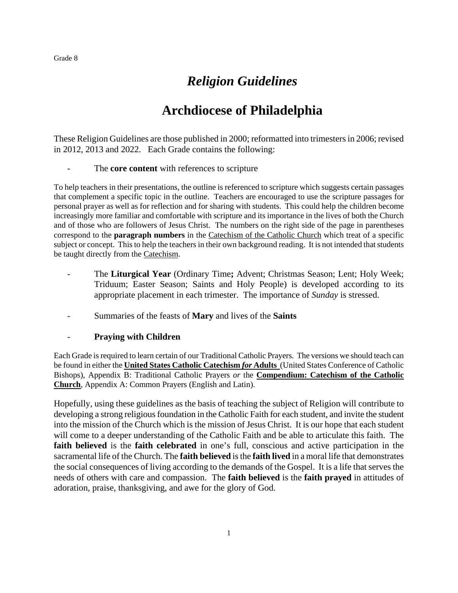# *Religion Guidelines*

# **Archdiocese of Philadelphia**

These Religion Guidelines are those published in 2000; reformatted into trimesters in 2006; revised in 2012, 2013 and 2022. Each Grade contains the following:

The **core content** with references to scripture

To help teachers in their presentations, the outline is referenced to scripture which suggests certain passages that complement a specific topic in the outline. Teachers are encouraged to use the scripture passages for personal prayer as well as for reflection and for sharing with students. This could help the children become increasingly more familiar and comfortable with scripture and its importance in the lives of both the Church and of those who are followers of Jesus Christ. The numbers on the right side of the page in parentheses correspond to the **paragraph numbers** in the Catechism of the Catholic Church which treat of a specific subject or concept. This to help the teachers in their own background reading. It is not intended that students be taught directly from the Catechism.

- The **Liturgical Year** (Ordinary Time**;** Advent; Christmas Season; Lent; Holy Week; Triduum; Easter Season; Saints and Holy People) is developed according to its appropriate placement in each trimester. The importance of *Sunday* is stressed.
- Summaries of the feasts of **Mary** and lives of the **Saints**

# - **Praying with Children**

Each Grade is required to learn certain of our Traditional Catholic Prayers. The versions we should teach can be found in either the **United States Catholic Catechism** *for* **Adults** (United States Conference of Catholic Bishops), Appendix B: Traditional Catholic Prayers *or* the **Compendium: Catechism of the Catholic Church**, Appendix A: Common Prayers (English and Latin).

Hopefully, using these guidelines as the basis of teaching the subject of Religion will contribute to developing a strong religious foundation in the Catholic Faith for each student, and invite the student into the mission of the Church which is the mission of Jesus Christ. It is our hope that each student will come to a deeper understanding of the Catholic Faith and be able to articulate this faith. The **faith believed** is the **faith celebrated** in one's full, conscious and active participation in the sacramental life of the Church. The **faith believed** is the **faith lived** in a moral life that demonstrates the social consequences of living according to the demands of the Gospel. It is a life that serves the needs of others with care and compassion. The **faith believed** is the **faith prayed** in attitudes of adoration, praise, thanksgiving, and awe for the glory of God.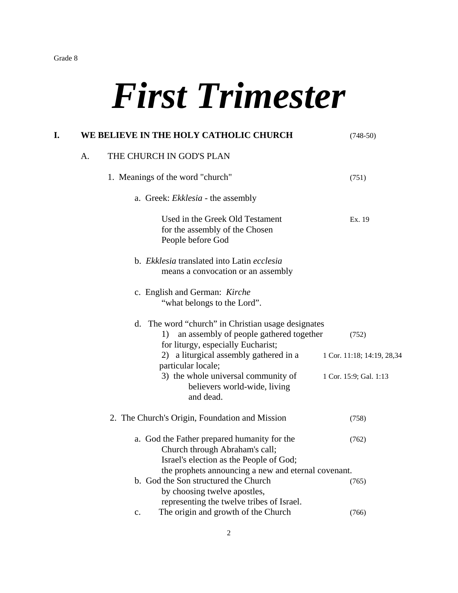# *First Trimester*

| I. |    | WE BELIEVE IN THE HOLY CATHOLIC CHURCH                                                                                                    | $(748-50)$                 |
|----|----|-------------------------------------------------------------------------------------------------------------------------------------------|----------------------------|
|    | A. | THE CHURCH IN GOD'S PLAN                                                                                                                  |                            |
|    |    | 1. Meanings of the word "church"                                                                                                          | (751)                      |
|    |    | a. Greek: Ekklesia - the assembly                                                                                                         |                            |
|    |    | Used in the Greek Old Testament<br>for the assembly of the Chosen<br>People before God                                                    | Ex. 19                     |
|    |    | b. Ekklesia translated into Latin ecclesia<br>means a convocation or an assembly                                                          |                            |
|    |    | c. English and German: Kirche<br>"what belongs to the Lord".                                                                              |                            |
|    |    | d. The word "church" in Christian usage designates<br>an assembly of people gathered together<br>1)<br>for liturgy, especially Eucharist; | (752)                      |
|    |    | 2) a liturgical assembly gathered in a<br>particular locale;                                                                              | 1 Cor. 11:18; 14:19, 28,34 |
|    |    | 3) the whole universal community of<br>believers world-wide, living<br>and dead.                                                          | 1 Cor. 15:9; Gal. 1:13     |
|    |    | 2. The Church's Origin, Foundation and Mission                                                                                            | (758)                      |
|    |    | a. God the Father prepared humanity for the<br>Church through Abraham's call;<br>Israel's election as the People of God;                  | (762)                      |
|    |    | the prophets announcing a new and eternal covenant.                                                                                       |                            |
|    |    | b. God the Son structured the Church<br>by choosing twelve apostles,<br>representing the twelve tribes of Israel.                         | (765)                      |
|    |    | The origin and growth of the Church<br>c.                                                                                                 | (766)                      |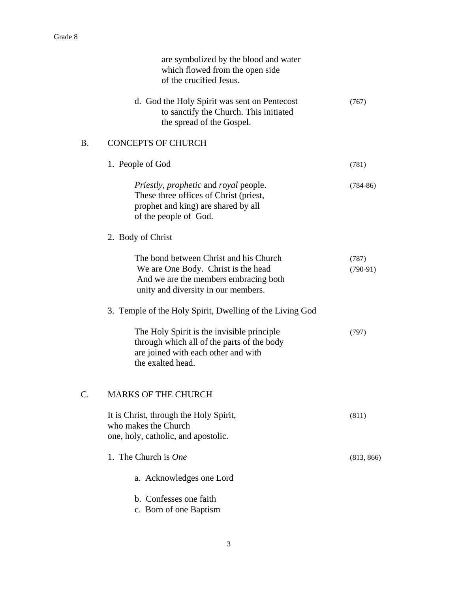|                 | are symbolized by the blood and water<br>which flowed from the open side<br>of the crucified Jesus.                                                           |                     |
|-----------------|---------------------------------------------------------------------------------------------------------------------------------------------------------------|---------------------|
|                 | d. God the Holy Spirit was sent on Pentecost<br>to sanctify the Church. This initiated<br>the spread of the Gospel.                                           | (767)               |
| <b>B.</b>       | <b>CONCEPTS OF CHURCH</b>                                                                                                                                     |                     |
|                 | 1. People of God                                                                                                                                              | (781)               |
|                 | <i>Priestly, prophetic and royal people.</i><br>These three offices of Christ (priest,<br>prophet and king) are shared by all<br>of the people of God.        | $(784-86)$          |
|                 | 2. Body of Christ                                                                                                                                             |                     |
|                 | The bond between Christ and his Church<br>We are One Body. Christ is the head<br>And we are the members embracing both<br>unity and diversity in our members. | (787)<br>$(790-91)$ |
|                 | 3. Temple of the Holy Spirit, Dwelling of the Living God                                                                                                      |                     |
|                 | The Holy Spirit is the invisible principle<br>through which all of the parts of the body<br>are joined with each other and with<br>the exalted head.          | (797)               |
| $\mathcal{C}$ . | <b>MARKS OF THE CHURCH</b>                                                                                                                                    |                     |
|                 | It is Christ, through the Holy Spirit,<br>who makes the Church<br>one, holy, catholic, and apostolic.                                                         | (811)               |
|                 | 1. The Church is One                                                                                                                                          | (813, 866)          |
|                 | a. Acknowledges one Lord                                                                                                                                      |                     |
|                 | b. Confesses one faith<br>c. Born of one Baptism                                                                                                              |                     |
|                 |                                                                                                                                                               |                     |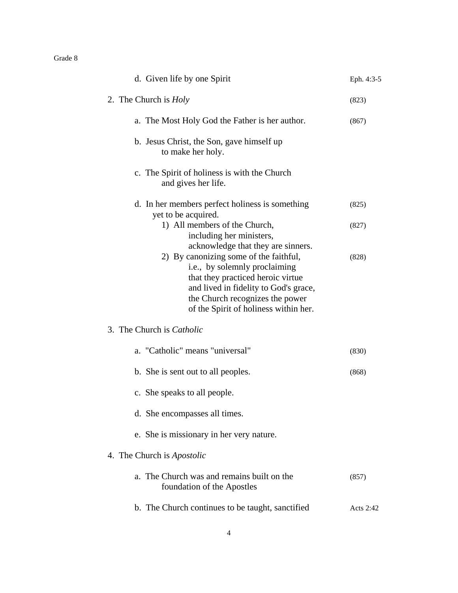| d. Given life by one Spirit                                                                                                                                                                                                       | Eph. 4:3-5 |
|-----------------------------------------------------------------------------------------------------------------------------------------------------------------------------------------------------------------------------------|------------|
| 2. The Church is <i>Holy</i>                                                                                                                                                                                                      | (823)      |
| a. The Most Holy God the Father is her author.                                                                                                                                                                                    | (867)      |
| b. Jesus Christ, the Son, gave himself up<br>to make her holy.                                                                                                                                                                    |            |
| c. The Spirit of holiness is with the Church<br>and gives her life.                                                                                                                                                               |            |
| d. In her members perfect holiness is something<br>yet to be acquired.                                                                                                                                                            | (825)      |
| 1) All members of the Church,<br>including her ministers,<br>acknowledge that they are sinners.                                                                                                                                   | (827)      |
| 2) By canonizing some of the faithful,<br>i.e., by solemnly proclaiming<br>that they practiced heroic virtue<br>and lived in fidelity to God's grace,<br>the Church recognizes the power<br>of the Spirit of holiness within her. | (828)      |
| 3. The Church is <i>Catholic</i>                                                                                                                                                                                                  |            |
| a. "Catholic" means "universal"                                                                                                                                                                                                   | (830)      |
| b. She is sent out to all peoples.                                                                                                                                                                                                | (868)      |
| c. She speaks to all people.                                                                                                                                                                                                      |            |
| d. She encompasses all times.                                                                                                                                                                                                     |            |
| e. She is missionary in her very nature.                                                                                                                                                                                          |            |
| 4. The Church is <i>Apostolic</i>                                                                                                                                                                                                 |            |
| a. The Church was and remains built on the<br>foundation of the Apostles                                                                                                                                                          | (857)      |
| b. The Church continues to be taught, sanctified                                                                                                                                                                                  | Acts 2:42  |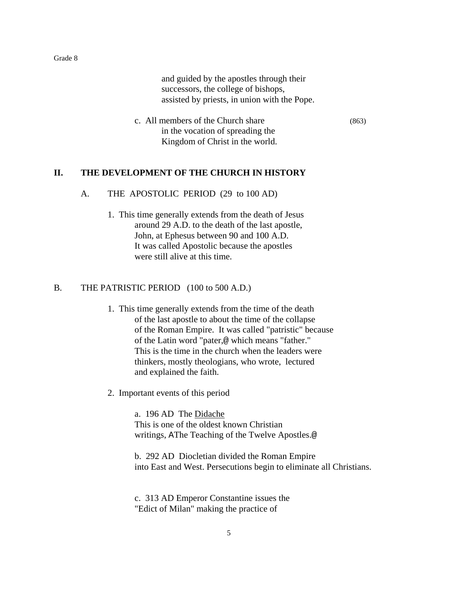and guided by the apostles through their successors, the college of bishops, assisted by priests, in union with the Pope.

c. All members of the Church share (863) in the vocation of spreading the Kingdom of Christ in the world.

# **II. THE DEVELOPMENT OF THE CHURCH IN HISTORY**

#### A. THE APOSTOLIC PERIOD (29 to 100 AD)

1. This time generally extends from the death of Jesus around 29 A.D. to the death of the last apostle, John, at Ephesus between 90 and 100 A.D. It was called Apostolic because the apostles were still alive at this time.

# B. THE PATRISTIC PERIOD (100 to 500 A.D.)

- 1. This time generally extends from the time of the death of the last apostle to about the time of the collapse of the Roman Empire. It was called "patristic" because of the Latin word "pater,@ which means "father." This is the time in the church when the leaders were thinkers, mostly theologians, who wrote, lectured and explained the faith.
- 2. Important events of this period

a. 196 AD The Didache This is one of the oldest known Christian writings, AThe Teaching of the Twelve Apostles.@

b. 292 AD Diocletian divided the Roman Empire into East and West. Persecutions begin to eliminate all Christians.

c. 313 AD Emperor Constantine issues the "Edict of Milan" making the practice of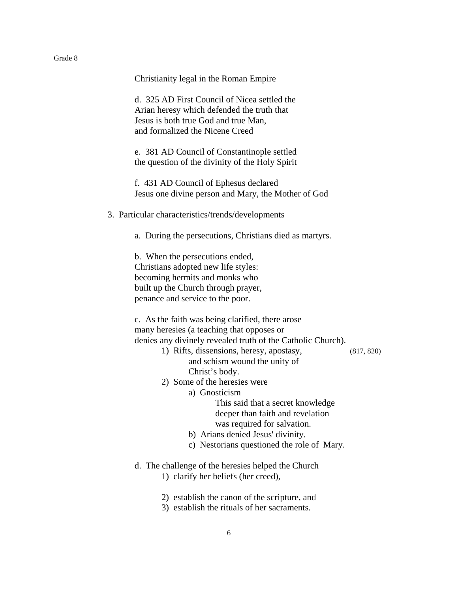| Grade 8 |                                                                                                                                                                                                                                                                                                                                                                                                                                                                                                                                                                |
|---------|----------------------------------------------------------------------------------------------------------------------------------------------------------------------------------------------------------------------------------------------------------------------------------------------------------------------------------------------------------------------------------------------------------------------------------------------------------------------------------------------------------------------------------------------------------------|
|         | Christianity legal in the Roman Empire                                                                                                                                                                                                                                                                                                                                                                                                                                                                                                                         |
|         | d. 325 AD First Council of Nicea settled the<br>Arian heresy which defended the truth that<br>Jesus is both true God and true Man,<br>and formalized the Nicene Creed                                                                                                                                                                                                                                                                                                                                                                                          |
|         | e. 381 AD Council of Constantinople settled<br>the question of the divinity of the Holy Spirit                                                                                                                                                                                                                                                                                                                                                                                                                                                                 |
|         | f. 431 AD Council of Ephesus declared<br>Jesus one divine person and Mary, the Mother of God                                                                                                                                                                                                                                                                                                                                                                                                                                                                   |
|         | 3. Particular characteristics/trends/developments                                                                                                                                                                                                                                                                                                                                                                                                                                                                                                              |
|         | a. During the persecutions, Christians died as martyrs.                                                                                                                                                                                                                                                                                                                                                                                                                                                                                                        |
|         | b. When the persecutions ended,<br>Christians adopted new life styles:<br>becoming hermits and monks who<br>built up the Church through prayer,<br>penance and service to the poor.                                                                                                                                                                                                                                                                                                                                                                            |
|         | c. As the faith was being clarified, there arose<br>many here sies (a teaching that opposes or<br>denies any divinely revealed truth of the Catholic Church).<br>1) Rifts, dissensions, heresy, apostasy,<br>and schism wound the unity of<br>Christ's body.<br>2) Some of the heresies were<br>a) Gnosticism<br>This said that a secret knowledge<br>deeper than faith and revelation<br>was required for salvation.<br>b) Arians denied Jesus' divinity.<br>c) Nestorians questioned the role of Mary.<br>d. The challenge of the heresies helped the Church |
|         | 1) clarify her beliefs (her creed),                                                                                                                                                                                                                                                                                                                                                                                                                                                                                                                            |
|         | 2) establish the canon of the scripture, and<br>3) establish the rituals of her sacraments.                                                                                                                                                                                                                                                                                                                                                                                                                                                                    |

 $(817, 820)$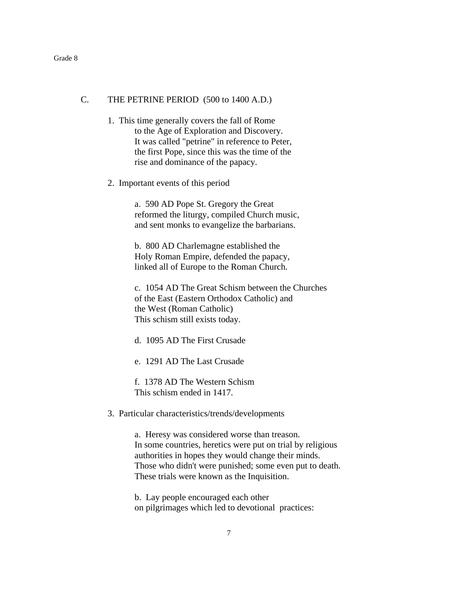# C. THE PETRINE PERIOD (500 to 1400 A.D.)

- 1. This time generally covers the fall of Rome to the Age of Exploration and Discovery. It was called "petrine" in reference to Peter, the first Pope, since this was the time of the rise and dominance of the papacy.
- 2. Important events of this period

a. 590 AD Pope St. Gregory the Great reformed the liturgy, compiled Church music, and sent monks to evangelize the barbarians.

b. 800 AD Charlemagne established the Holy Roman Empire, defended the papacy, linked all of Europe to the Roman Church.

c. 1054 AD The Great Schism between the Churches of the East (Eastern Orthodox Catholic) and the West (Roman Catholic) This schism still exists today.

- d. 1095 AD The First Crusade
- e. 1291 AD The Last Crusade

f. 1378 AD The Western Schism This schism ended in 1417.

3. Particular characteristics/trends/developments

a. Heresy was considered worse than treason. In some countries, heretics were put on trial by religious authorities in hopes they would change their minds. Those who didn't were punished; some even put to death. These trials were known as the Inquisition.

b. Lay people encouraged each other on pilgrimages which led to devotional practices: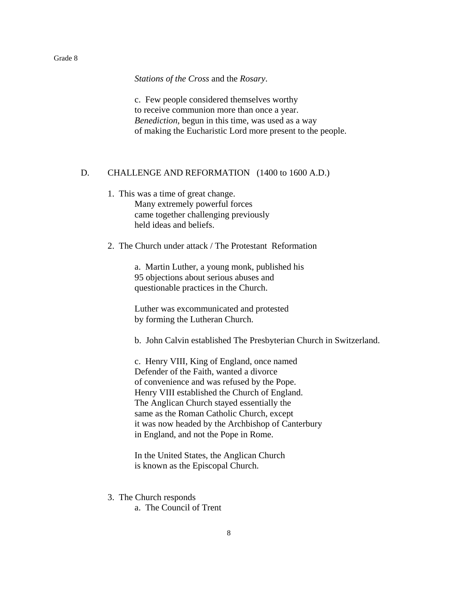*Stations of the Cross* and the *Rosary*.

c. Few people considered themselves worthy to receive communion more than once a year. *Benediction*, begun in this time, was used as a way of making the Eucharistic Lord more present to the people.

### D. CHALLENGE AND REFORMATION (1400 to 1600 A.D.)

- 1. This was a time of great change. Many extremely powerful forces came together challenging previously held ideas and beliefs.
- 2. The Church under attack / The Protestant Reformation

a. Martin Luther, a young monk, published his 95 objections about serious abuses and questionable practices in the Church.

Luther was excommunicated and protested by forming the Lutheran Church.

b. John Calvin established The Presbyterian Church in Switzerland.

c. Henry VIII, King of England, once named Defender of the Faith, wanted a divorce of convenience and was refused by the Pope. Henry VIII established the Church of England. The Anglican Church stayed essentially the same as the Roman Catholic Church, except it was now headed by the Archbishop of Canterbury in England, and not the Pope in Rome.

In the United States, the Anglican Church is known as the Episcopal Church.

- 3. The Church responds
	- a. The Council of Trent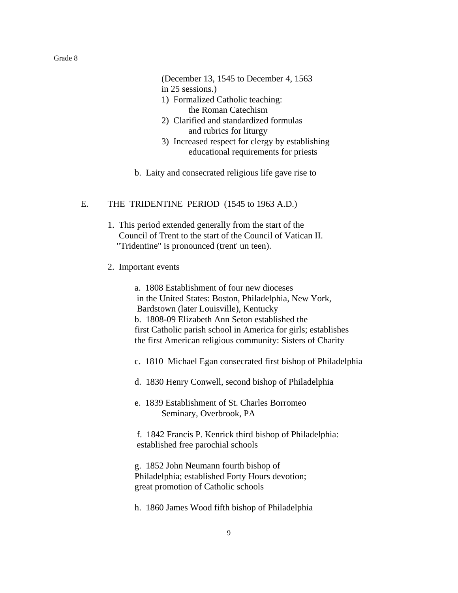(December 13, 1545 to December 4, 1563 in 25 sessions.) 1) Formalized Catholic teaching:

- the Roman Catechism
- 2) Clarified and standardized formulas and rubrics for liturgy
- 3) Increased respect for clergy by establishing educational requirements for priests
- b. Laity and consecrated religious life gave rise to

#### E. THE TRIDENTINE PERIOD (1545 to 1963 A.D.)

- 1. This period extended generally from the start of the Council of Trent to the start of the Council of Vatican II. "Tridentine" is pronounced (trent' un teen).
- 2. Important events

 a. 1808 Establishment of four new dioceses in the United States: Boston, Philadelphia, New York, Bardstown (later Louisville), Kentucky b. 1808-09 Elizabeth Ann Seton established the first Catholic parish school in America for girls; establishes the first American religious community: Sisters of Charity

- c. 1810 Michael Egan consecrated first bishop of Philadelphia
- d. 1830 Henry Conwell, second bishop of Philadelphia
- e. 1839 Establishment of St. Charles Borromeo Seminary, Overbrook, PA
- f. 1842 Francis P. Kenrick third bishop of Philadelphia: established free parochial schools
- g. 1852 John Neumann fourth bishop of Philadelphia; established Forty Hours devotion; great promotion of Catholic schools
- h. 1860 James Wood fifth bishop of Philadelphia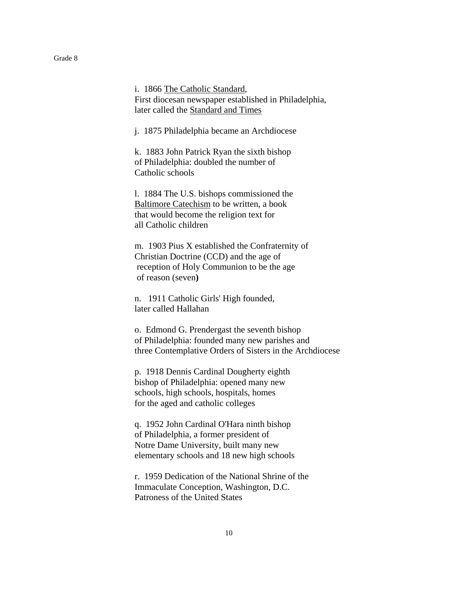i. 1866 The Catholic Standard, First diocesan newspaper established in Philadelphia, later called the Standard and Times

j. 1875 Philadelphia became an Archdiocese

k. 1883 John Patrick Ryan the sixth bishop of Philadelphia: doubled the number of Catholic schools

l. 1884 The U.S. bishops commissioned the Baltimore Catechism to be written, a book that would become the religion text for all Catholic children

m. 1903 Pius X established the Confraternity of Christian Doctrine (CCD) and the age of reception of Holy Communion to be the age of reason (seven**)**

n. 1911 Catholic Girls' High founded, later called Hallahan

 o. Edmond G. Prendergast the seventh bishop of Philadelphia: founded many new parishes and three Contemplative Orders of Sisters in the Archdiocese

p. 1918 Dennis Cardinal Dougherty eighth bishop of Philadelphia: opened many new schools, high schools, hospitals, homes for the aged and catholic colleges

q. 1952 John Cardinal O'Hara ninth bishop of Philadelphia, a former president of Notre Dame University, built many new elementary schools and 18 new high schools

r. 1959 Dedication of the National Shrine of the Immaculate Conception, Washington, D.C. Patroness of the United States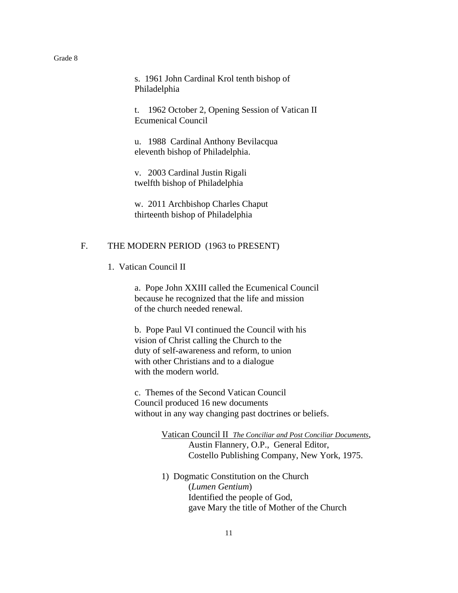s. 1961 John Cardinal Krol tenth bishop of Philadelphia

t. 1962 October 2, Opening Session of Vatican II Ecumenical Council

u. 1988 Cardinal Anthony Bevilacqua eleventh bishop of Philadelphia.

v. 2003 Cardinal Justin Rigali twelfth bishop of Philadelphia

w. 2011 Archbishop Charles Chaput thirteenth bishop of Philadelphia

#### F. THE MODERN PERIOD (1963 to PRESENT)

1. Vatican Council II

a. Pope John XXIII called the Ecumenical Council because he recognized that the life and mission of the church needed renewal.

b. Pope Paul VI continued the Council with his vision of Christ calling the Church to the duty of self-awareness and reform, to union with other Christians and to a dialogue with the modern world.

c. Themes of the Second Vatican Council Council produced 16 new documents without in any way changing past doctrines or beliefs.

> Vatican Council II *The Conciliar and Post Conciliar Documents*, Austin Flannery, O.P., General Editor, Costello Publishing Company, New York, 1975.

1) Dogmatic Constitution on the Church (*Lumen Gentium*) Identified the people of God, gave Mary the title of Mother of the Church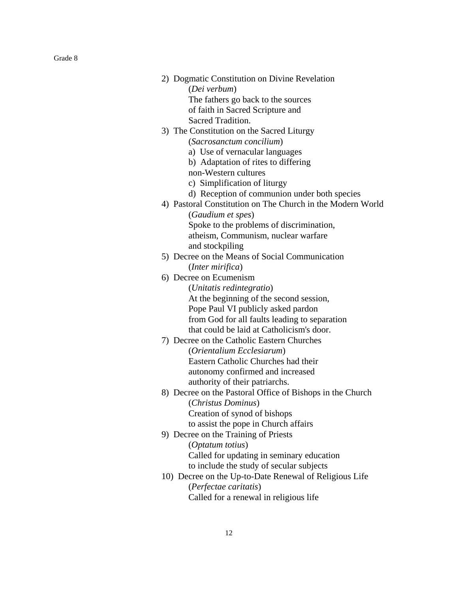| 2) Dogmatic Constitution on Divine Revelation              |
|------------------------------------------------------------|
| (Dei verbum)                                               |
| The fathers go back to the sources                         |
| of faith in Sacred Scripture and                           |
| Sacred Tradition.                                          |
| 3) The Constitution on the Sacred Liturgy                  |
| (Sacrosanctum concilium)                                   |
| a) Use of vernacular languages                             |
| b) Adaptation of rites to differing                        |
| non-Western cultures                                       |
| c) Simplification of liturgy                               |
| d) Reception of communion under both species               |
| 4) Pastoral Constitution on The Church in the Modern World |
| (Gaudium et spes)                                          |
| Spoke to the problems of discrimination,                   |
| atheism, Communism, nuclear warfare                        |
| and stockpiling                                            |
| 5) Decree on the Means of Social Communication             |
| ( <i>Inter mirifica</i> )                                  |
| 6) Decree on Ecumenism                                     |
| (Unitatis redintegratio)                                   |
| At the beginning of the second session,                    |
| Pope Paul VI publicly asked pardon                         |
| from God for all faults leading to separation              |
| that could be laid at Catholicism's door.                  |
| 7) Decree on the Catholic Eastern Churches                 |
| (Orientalium Ecclesiarum)                                  |
| Eastern Catholic Churches had their                        |
| autonomy confirmed and increased                           |
| authority of their patriarchs.                             |
| 8) Decree on the Pastoral Office of Bishops in the Church  |
| (Christus Dominus)                                         |
| Creation of synod of bishops                               |
| to assist the pope in Church affairs                       |
| 9) Decree on the Training of Priests                       |
| (Optatum totius)                                           |
| Called for updating in seminary education                  |
| to include the study of secular subjects                   |
| 10) Decree on the Up-to-Date Renewal of Religious Life     |
| (Perfectae caritatis)                                      |
| Called for a renewal in religious life                     |
|                                                            |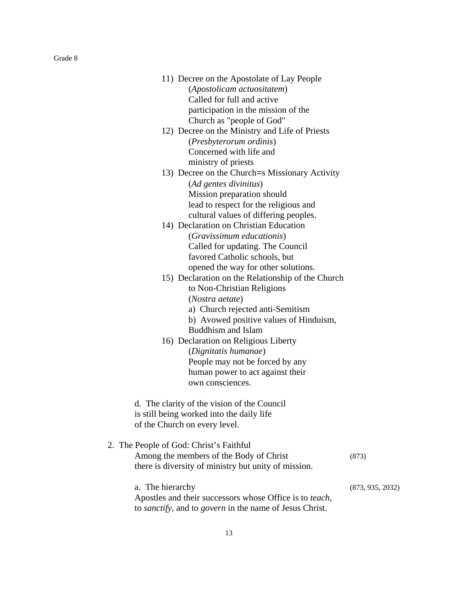| 11) Decree on the Apostolate of Lay People     |
|------------------------------------------------|
| (Apostolicam actuositatem)                     |
| Called for full and active                     |
| participation in the mission of the            |
| Church as "people of God"                      |
| 12) Decree on the Ministry and Life of Priests |
|                                                |

(*Presbyterorum ordinis*) Concerned with life and ministry of priests

- 13) Decree on the Church=s Missionary Activity (*Ad gentes divinitus*) Mission preparation should lead to respect for the religious and cultural values of differing peoples.
- 14) Declaration on Christian Education (*Gravissimum educationis*) Called for updating. The Council favored Catholic schools, but opened the way for other solutions.
- 15) Declaration on the Relationship of the Church to Non-Christian Religions (*Nostra aetate*)
	- a) Church rejected anti-Semitism
	- b) Avowed positive values of Hinduism, Buddhism and Islam
- 16) Declaration on Religious Liberty (*Dignitatis humanae*) People may not be forced by any human power to act against their own consciences.

d. The clarity of the vision of the Council is still being worked into the daily life of the Church on every level.

| 2. The People of God: Christ's Faithful              |       |  |
|------------------------------------------------------|-------|--|
| Among the members of the Body of Christ              | (873) |  |
| there is diversity of ministry but unity of mission. |       |  |

a. The hierarchy (873, 935, 2032) Apostles and their successors whose Office is to *teach*, to *sanctify,* and to *govern* in the name of Jesus Christ.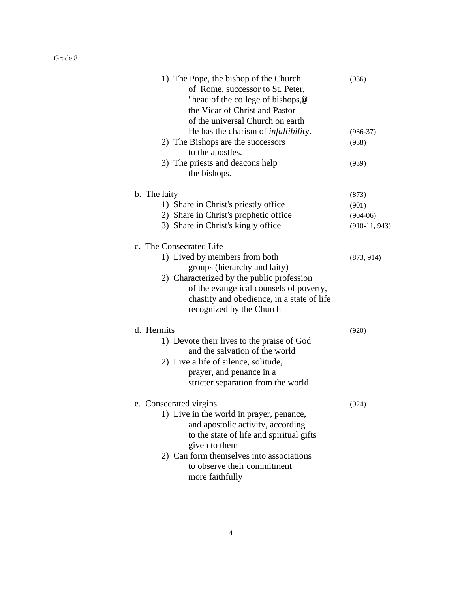| 1) The Pope, the bishop of the Church<br>of Rome, successor to St. Peter,<br>"head of the college of bishops,@<br>the Vicar of Christ and Pastor<br>of the universal Church on earth                                                                               | (936)           |
|--------------------------------------------------------------------------------------------------------------------------------------------------------------------------------------------------------------------------------------------------------------------|-----------------|
| He has the charism of <i>infallibility</i> .                                                                                                                                                                                                                       | $(936-37)$      |
| 2) The Bishops are the successors<br>to the apostles.                                                                                                                                                                                                              | (938)           |
| 3) The priests and deacons help<br>the bishops.                                                                                                                                                                                                                    | (939)           |
| b. The laity                                                                                                                                                                                                                                                       | (873)           |
| 1) Share in Christ's priestly office                                                                                                                                                                                                                               | (901)           |
| 2) Share in Christ's prophetic office                                                                                                                                                                                                                              | $(904-06)$      |
| 3) Share in Christ's kingly office                                                                                                                                                                                                                                 | $(910-11, 943)$ |
| c. The Consecrated Life                                                                                                                                                                                                                                            |                 |
| 1) Lived by members from both<br>groups (hierarchy and laity)<br>2) Characterized by the public profession<br>of the evangelical counsels of poverty,<br>chastity and obedience, in a state of life<br>recognized by the Church                                    | (873, 914)      |
| d. Hermits<br>1) Devote their lives to the praise of God<br>and the salvation of the world<br>2) Live a life of silence, solitude,<br>prayer, and penance in a<br>stricter separation from the world                                                               | (920)           |
| e. Consecrated virgins<br>1) Live in the world in prayer, penance,<br>and apostolic activity, according<br>to the state of life and spiritual gifts<br>given to them<br>2) Can form themselves into associations<br>to observe their commitment<br>more faithfully | (924)           |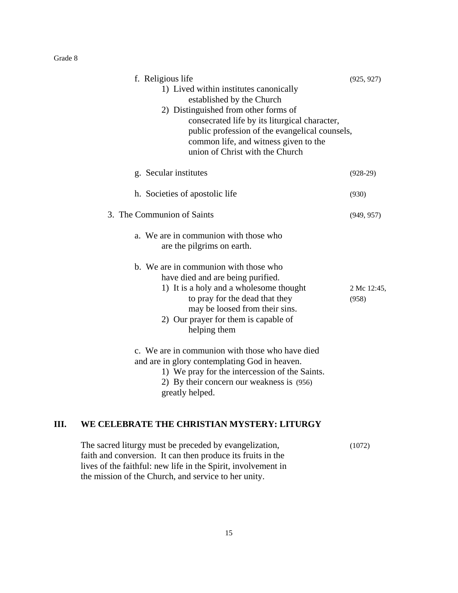| f. Religious life<br>1) Lived within institutes canonically<br>established by the Church<br>2) Distinguished from other forms of<br>consecrated life by its liturgical character,<br>public profession of the evangelical counsels,<br>common life, and witness given to the<br>union of Christ with the Church | (925, 927)           |
|-----------------------------------------------------------------------------------------------------------------------------------------------------------------------------------------------------------------------------------------------------------------------------------------------------------------|----------------------|
| g. Secular institutes                                                                                                                                                                                                                                                                                           | $(928-29)$           |
| h. Societies of apostolic life                                                                                                                                                                                                                                                                                  | (930)                |
| 3. The Communion of Saints                                                                                                                                                                                                                                                                                      | (949, 957)           |
| a. We are in communion with those who<br>are the pilgrims on earth.                                                                                                                                                                                                                                             |                      |
| b. We are in communion with those who<br>have died and are being purified.<br>1) It is a holy and a wholesome thought<br>to pray for the dead that they<br>may be loosed from their sins.<br>2) Our prayer for them is capable of<br>helping them                                                               | 2 Mc 12:45,<br>(958) |
| c. We are in communion with those who have died<br>and are in glory contemplating God in heaven.<br>1) We pray for the intercession of the Saints.<br>2) By their concern our weakness is (956)<br>greatly helped.                                                                                              |                      |

# **III. WE CELEBRATE THE CHRISTIAN MYSTERY: LITURGY**

| The sacred liturgy must be preceded by evangelization,        | (1072) |
|---------------------------------------------------------------|--------|
| faith and conversion. It can then produce its fruits in the   |        |
| lives of the faithful: new life in the Spirit, involvement in |        |
| the mission of the Church, and service to her unity.          |        |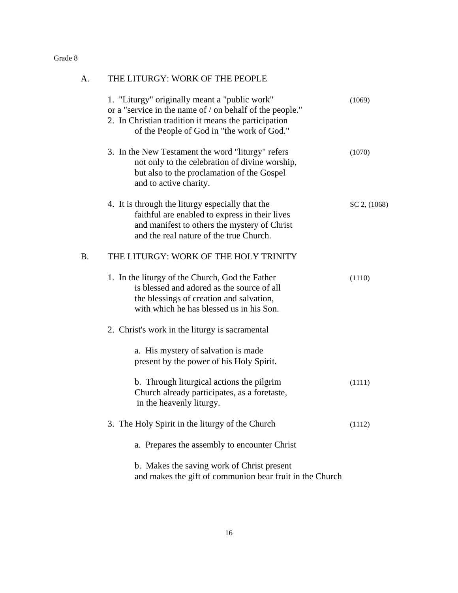| A. | THE LITURGY: WORK OF THE PEOPLE                                                                                                                                                                                 |              |
|----|-----------------------------------------------------------------------------------------------------------------------------------------------------------------------------------------------------------------|--------------|
|    | 1. "Liturgy" originally meant a "public work"<br>or a "service in the name of / on behalf of the people."<br>2. In Christian tradition it means the participation<br>of the People of God in "the work of God." | (1069)       |
|    | 3. In the New Testament the word "liturgy" refers<br>not only to the celebration of divine worship,<br>but also to the proclamation of the Gospel<br>and to active charity.                                     | (1070)       |
|    | 4. It is through the liturgy especially that the<br>faithful are enabled to express in their lives<br>and manifest to others the mystery of Christ<br>and the real nature of the true Church.                   | SC 2, (1068) |
| B. | THE LITURGY: WORK OF THE HOLY TRINITY                                                                                                                                                                           |              |
|    | 1. In the liturgy of the Church, God the Father<br>is blessed and adored as the source of all<br>the blessings of creation and salvation,<br>with which he has blessed us in his Son.                           | (1110)       |
|    | 2. Christ's work in the liturgy is sacramental                                                                                                                                                                  |              |
|    | a. His mystery of salvation is made<br>present by the power of his Holy Spirit.                                                                                                                                 |              |
|    | b. Through liturgical actions the pilgrim<br>Church already participates, as a foretaste,<br>in the heavenly liturgy.                                                                                           | (1111)       |
|    | 3. The Holy Spirit in the liturgy of the Church                                                                                                                                                                 | (1112)       |
|    | a. Prepares the assembly to encounter Christ                                                                                                                                                                    |              |
|    | b. Makes the saving work of Christ present<br>and makes the gift of communion bear fruit in the Church                                                                                                          |              |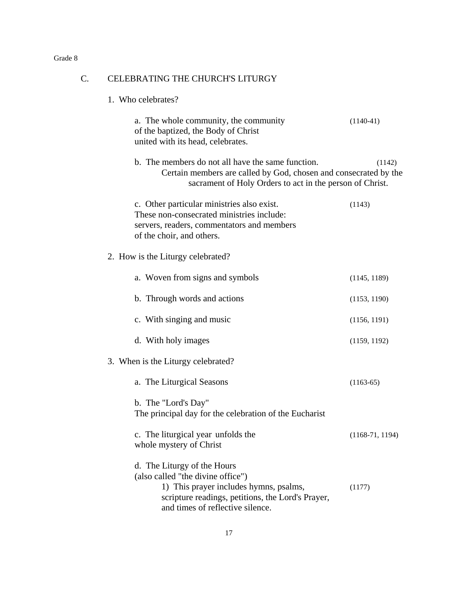# C. CELEBRATING THE CHURCH'S LITURGY

1. Who celebrates?

| a. The whole community, the community<br>of the baptized, the Body of Christ<br>united with its head, celebrates.                                                                                   | $(1140-41)$       |
|-----------------------------------------------------------------------------------------------------------------------------------------------------------------------------------------------------|-------------------|
| b. The members do not all have the same function.<br>Certain members are called by God, chosen and consecrated by the<br>sacrament of Holy Orders to act in the person of Christ.                   | (1142)            |
| c. Other particular ministries also exist.<br>These non-consecrated ministries include:<br>servers, readers, commentators and members<br>of the choir, and others.                                  | (1143)            |
| 2. How is the Liturgy celebrated?                                                                                                                                                                   |                   |
| a. Woven from signs and symbols                                                                                                                                                                     | (1145, 1189)      |
| b. Through words and actions                                                                                                                                                                        | (1153, 1190)      |
| c. With singing and music                                                                                                                                                                           | (1156, 1191)      |
| d. With holy images                                                                                                                                                                                 | (1159, 1192)      |
| 3. When is the Liturgy celebrated?                                                                                                                                                                  |                   |
| a. The Liturgical Seasons                                                                                                                                                                           | $(1163-65)$       |
| b. The "Lord's Day"<br>The principal day for the celebration of the Eucharist                                                                                                                       |                   |
| c. The liturgical year unfolds the<br>whole mystery of Christ                                                                                                                                       | $(1168-71, 1194)$ |
| d. The Liturgy of the Hours<br>(also called "the divine office")<br>1) This prayer includes hymns, psalms,<br>scripture readings, petitions, the Lord's Prayer,<br>and times of reflective silence. | (1177)            |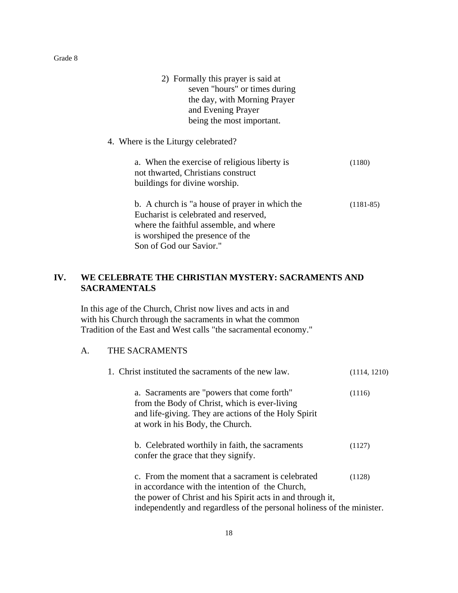| 2) Formally this prayer is said at<br>seven "hours" or times during                |             |
|------------------------------------------------------------------------------------|-------------|
| the day, with Morning Prayer                                                       |             |
| and Evening Prayer                                                                 |             |
| being the most important.                                                          |             |
| 4. Where is the Liturgy celebrated?                                                |             |
| a. When the exercise of religious liberty is<br>not thwarted, Christians construct | (1180)      |
| buildings for divine worship.                                                      |             |
| b. A church is "a house of prayer in which the                                     | $(1181-85)$ |
| Eucharist is celebrated and reserved,                                              |             |
| where the faithful assemble, and where                                             |             |
| is worshiped the presence of the                                                   |             |
| Son of God our Savior."                                                            |             |
|                                                                                    |             |

# **IV. WE CELEBRATE THE CHRISTIAN MYSTERY: SACRAMENTS AND SACRAMENTALS**

In this age of the Church, Christ now lives and acts in and with his Church through the sacraments in what the common Tradition of the East and West calls "the sacramental economy."

# A. THE SACRAMENTS

| 1. Christ instituted the sacraments of the new law.                                                                                                                                                                                          | (1114, 1210) |
|----------------------------------------------------------------------------------------------------------------------------------------------------------------------------------------------------------------------------------------------|--------------|
| a. Sacraments are "powers that come forth"<br>from the Body of Christ, which is ever-living<br>and life-giving. They are actions of the Holy Spirit<br>at work in his Body, the Church.                                                      | (1116)       |
| b. Celebrated worthily in faith, the sacraments<br>confer the grace that they signify.                                                                                                                                                       | (1127)       |
| c. From the moment that a sacrament is celebrated<br>in accordance with the intention of the Church,<br>the power of Christ and his Spirit acts in and through it,<br>independently and regardless of the personal holiness of the minister. | (1128)       |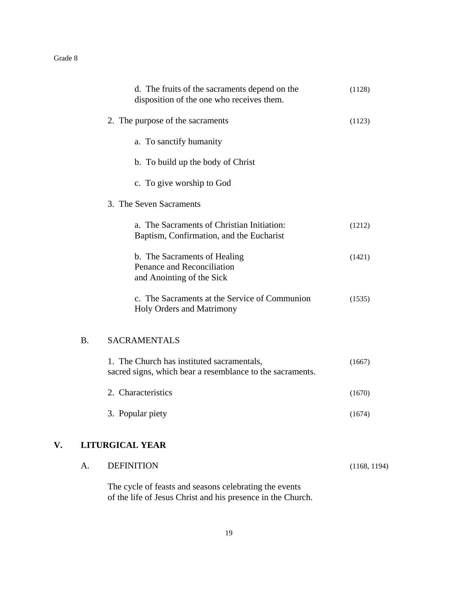|    | A.        | <b>DEFINITION</b>                                                                                       | (1168, 1194) |
|----|-----------|---------------------------------------------------------------------------------------------------------|--------------|
| V. |           | <b>LITURGICAL YEAR</b>                                                                                  |              |
|    |           | 3. Popular piety                                                                                        | (1674)       |
|    |           | 2. Characteristics                                                                                      | (1670)       |
|    |           | 1. The Church has instituted sacramentals,<br>sacred signs, which bear a resemblance to the sacraments. | (1667)       |
|    | <b>B.</b> | <b>SACRAMENTALS</b>                                                                                     |              |
|    |           | c. The Sacraments at the Service of Communion<br>Holy Orders and Matrimony                              | (1535)       |
|    |           | b. The Sacraments of Healing<br>Penance and Reconciliation<br>and Anointing of the Sick                 | (1421)       |
|    |           | a. The Sacraments of Christian Initiation:<br>Baptism, Confirmation, and the Eucharist                  | (1212)       |
|    |           | 3. The Seven Sacraments                                                                                 |              |
|    |           | c. To give worship to God                                                                               |              |
|    |           | b. To build up the body of Christ                                                                       |              |
|    |           | a. To sanctify humanity                                                                                 |              |
|    |           | 2. The purpose of the sacraments                                                                        | (1123)       |
|    |           | d. The fruits of the sacraments depend on the<br>disposition of the one who receives them.              | (1128)       |

The cycle of feasts and seasons celebrating the events of the life of Jesus Christ and his presence in the Church.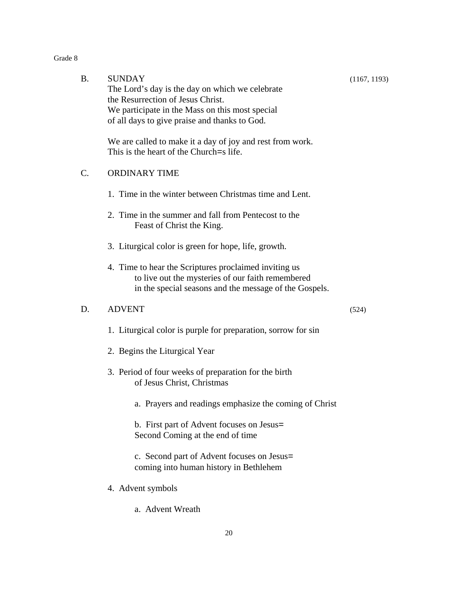| тас |  |
|-----|--|
|-----|--|

| <b>B.</b> | <b>SUNDAY</b><br>The Lord's day is the day on which we celebrate<br>the Resurrection of Jesus Christ.<br>We participate in the Mass on this most special<br>of all days to give praise and thanks to God. | (1167, 1193) |
|-----------|-----------------------------------------------------------------------------------------------------------------------------------------------------------------------------------------------------------|--------------|
|           | We are called to make it a day of joy and rest from work.<br>This is the heart of the Church = s life.                                                                                                    |              |
| C.        | <b>ORDINARY TIME</b>                                                                                                                                                                                      |              |
|           | 1. Time in the winter between Christmas time and Lent.                                                                                                                                                    |              |
|           | 2. Time in the summer and fall from Pentecost to the<br>Feast of Christ the King.                                                                                                                         |              |
|           | 3. Liturgical color is green for hope, life, growth.                                                                                                                                                      |              |
|           | 4. Time to hear the Scriptures proclaimed inviting us<br>to live out the mysteries of our faith remembered<br>in the special seasons and the message of the Gospels.                                      |              |
| D.        | <b>ADVENT</b>                                                                                                                                                                                             | (524)        |
|           | 1. Liturgical color is purple for preparation, sorrow for sin                                                                                                                                             |              |
|           | 2. Begins the Liturgical Year                                                                                                                                                                             |              |
|           | 3. Period of four weeks of preparation for the birth<br>of Jesus Christ, Christmas                                                                                                                        |              |
|           | a. Prayers and readings emphasize the coming of Christ                                                                                                                                                    |              |
|           | b. First part of Advent focuses on Jesus=<br>Second Coming at the end of time                                                                                                                             |              |
|           | c. Second part of Advent focuses on Jesus=<br>coming into human history in Bethlehem                                                                                                                      |              |
|           | 4. Advent symbols                                                                                                                                                                                         |              |
|           |                                                                                                                                                                                                           |              |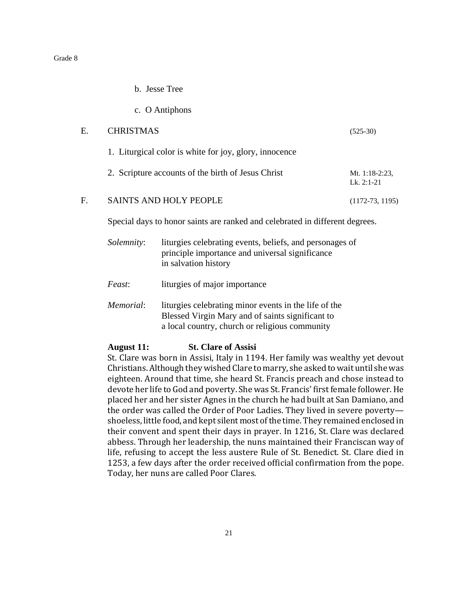- b. Jesse Tree
- c. O Antiphons

| Е.             | <b>CHRISTMAS</b>                                       | $(525-30)$                        |
|----------------|--------------------------------------------------------|-----------------------------------|
|                | 1. Liturgical color is white for joy, glory, innocence |                                   |
|                | 2. Scripture accounts of the birth of Jesus Christ     | Mt. $1:18-2:23$ ,<br>Lk. $2:1-21$ |
| $\mathbf{F}$ . | <b>SAINTS AND HOLY PEOPLE</b>                          | $(1172-73, 1195)$                 |
|                |                                                        |                                   |

Special days to honor saints are ranked and celebrated in different degrees.

| <i>Solemnity</i> : | liturgies celebrating events, beliefs, and personages of |
|--------------------|----------------------------------------------------------|
|                    | principle importance and universal significance          |
|                    | in salvation history                                     |
|                    |                                                          |
|                    |                                                          |

*Feast*: liturgies of major importance

*Memorial*: liturgies celebrating minor events in the life of the Blessed Virgin Mary and of saints significant to a local country, church or religious community

#### **August 11: St. Clare of Assisi**

St. Clare was born in Assisi, Italy in 1194. Her family was wealthy yet devout Christians. Although they wished Clare to marry, she asked to wait until she was eighteen. Around that time, she heard St. Francis preach and chose instead to devote her life to God and poverty. She was St. Francis' first female follower. He placed her and her sister Agnes in the church he had built at San Damiano, and the order was called the Order of Poor Ladies. They lived in severe poverty shoeless, little food, and kept silent most of the time. They remained enclosed in their convent and spent their days in prayer. In 1216, St. Clare was declared abbess. Through her leadership, the nuns maintained their Franciscan way of life, refusing to accept the less austere Rule of St. Benedict. St. Clare died in 1253, a few days after the order received official confirmation from the pope. Today, her nuns are called Poor Clares.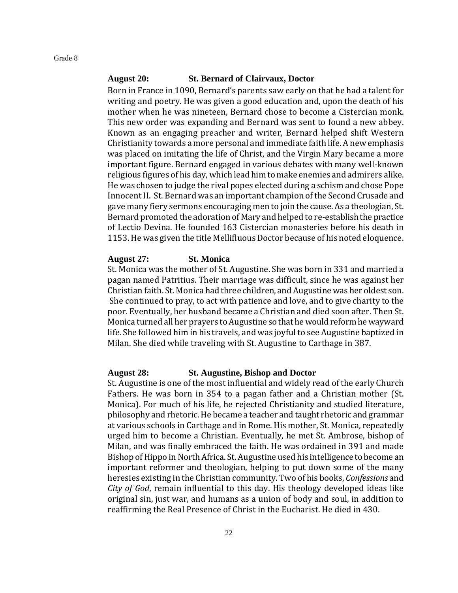# **August 20: St. Bernard of Clairvaux, Doctor**

Born in France in 1090, Bernard's parents saw early on that he had a talent for writing and poetry. He was given a good education and, upon the death of his mother when he was nineteen, Bernard chose to become a Cistercian monk. This new order was expanding and Bernard was sent to found a new abbey. Known as an engaging preacher and writer, Bernard helped shift Western Christianity towards a more personal and immediate faith life. A new emphasis was placed on imitating the life of Christ, and the Virgin Mary became a more important figure. Bernard engaged in various debates with many well-known religious figures of his day, which lead him to make enemies and admirers alike. He was chosen to judge the rival popes elected during a schism and chose Pope Innocent II. St. Bernard was an important champion of the Second Crusade and gave many fiery sermons encouraging men to join the cause. As a theologian, St. Bernard promoted the adoration of Mary and helped to re-establish the practice of Lectio Devina. He founded 163 Cistercian monasteries before his death in 1153. He was given the title Mellifluous Doctor because of his noted eloquence.

## **August 27: St. Monica**

St. Monica was the mother of St. Augustine. She was born in 331 and married a pagan named Patritius. Their marriage was difficult, since he was against her Christian faith. St. Monica had three children, and Augustine was her oldest son. She continued to pray, to act with patience and love, and to give charity to the poor. Eventually, her husband became a Christian and died soon after. Then St. Monica turned all her prayers to Augustine so that he would reform he wayward life. She followed him in his travels, and was joyful to see Augustine baptized in Milan. She died while traveling with St. Augustine to Carthage in 387.

#### **August 28: St. Augustine, Bishop and Doctor**

St. Augustine is one of the most influential and widely read of the early Church Fathers. He was born in 354 to a pagan father and a Christian mother (St. Monica). For much of his life, he rejected Christianity and studied literature, philosophy and rhetoric. He became a teacher and taught rhetoric and grammar at various schools in Carthage and in Rome. His mother, St. Monica, repeatedly urged him to become a Christian. Eventually, he met St. Ambrose, bishop of Milan, and was finally embraced the faith. He was ordained in 391 and made Bishop of Hippo in North Africa. St. Augustine used his intelligence to become an important reformer and theologian, helping to put down some of the many heresies existing in the Christian community. Two of his books, *Confessions* and *City of God*, remain influential to this day. His theology developed ideas like original sin, just war, and humans as a union of body and soul, in addition to reaffirming the Real Presence of Christ in the Eucharist. He died in 430.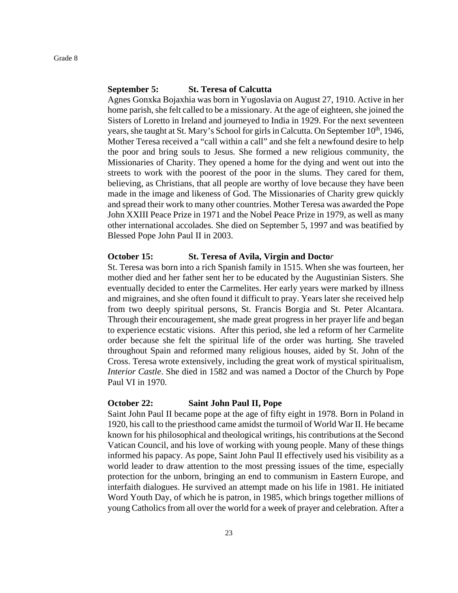#### **September 5: St. Teresa of Calcutta**

Agnes Gonxka Bojaxhia was born in Yugoslavia on August 27, 1910. Active in her home parish, she felt called to be a missionary. At the age of eighteen, she joined the Sisters of Loretto in Ireland and journeyed to India in 1929. For the next seventeen years, she taught at St. Mary's School for girls in Calcutta. On September  $10<sup>th</sup>$ , 1946, Mother Teresa received a "call within a call" and she felt a newfound desire to help the poor and bring souls to Jesus. She formed a new religious community, the Missionaries of Charity. They opened a home for the dying and went out into the streets to work with the poorest of the poor in the slums. They cared for them, believing, as Christians, that all people are worthy of love because they have been made in the image and likeness of God. The Missionaries of Charity grew quickly and spread their work to many other countries. Mother Teresa was awarded the Pope John XXIII Peace Prize in 1971 and the Nobel Peace Prize in 1979, as well as many other international accolades. She died on September 5, 1997 and was beatified by Blessed Pope John Paul II in 2003.

#### **October 15: St. Teresa of Avila, Virgin and Docto***r*

St. Teresa was born into a rich Spanish family in 1515. When she was fourteen, her mother died and her father sent her to be educated by the Augustinian Sisters. She eventually decided to enter the Carmelites. Her early years were marked by illness and migraines, and she often found it difficult to pray. Years later she received help from two deeply spiritual persons, St. Francis Borgia and St. Peter Alcantara. Through their encouragement, she made great progress in her prayer life and began to experience ecstatic visions. After this period, she led a reform of her Carmelite order because she felt the spiritual life of the order was hurting. She traveled throughout Spain and reformed many religious houses, aided by St. John of the Cross. Teresa wrote extensively, including the great work of mystical spiritualism, *Interior Castle*. She died in 1582 and was named a Doctor of the Church by Pope Paul VI in 1970.

# **October 22: Saint John Paul II, Pope**

Saint John Paul II became pope at the age of fifty eight in 1978. Born in Poland in 1920, his call to the priesthood came amidst the turmoil of World War II. He became known for his philosophical and theological writings, his contributions at the Second Vatican Council, and his love of working with young people. Many of these things informed his papacy. As pope, Saint John Paul II effectively used his visibility as a world leader to draw attention to the most pressing issues of the time, especially protection for the unborn, bringing an end to communism in Eastern Europe, and interfaith dialogues. He survived an attempt made on his life in 1981. He initiated Word Youth Day, of which he is patron, in 1985, which brings together millions of young Catholics from all over the world for a week of prayer and celebration. After a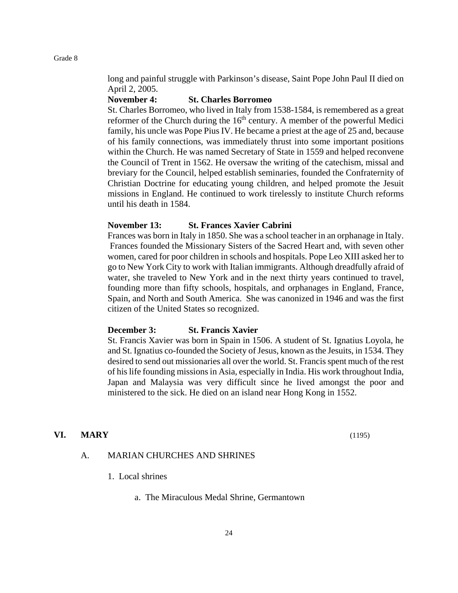long and painful struggle with Parkinson's disease, Saint Pope John Paul II died on April 2, 2005.

#### **November 4: St. Charles Borromeo**

St. Charles Borromeo, who lived in Italy from 1538-1584, is remembered as a great reformer of the Church during the  $16<sup>th</sup>$  century. A member of the powerful Medici family, his uncle was Pope Pius IV. He became a priest at the age of 25 and, because of his family connections, was immediately thrust into some important positions within the Church. He was named Secretary of State in 1559 and helped reconvene the Council of Trent in 1562. He oversaw the writing of the catechism, missal and breviary for the Council, helped establish seminaries, founded the Confraternity of Christian Doctrine for educating young children, and helped promote the Jesuit missions in England. He continued to work tirelessly to institute Church reforms until his death in 1584.

#### **November 13: St. Frances Xavier Cabrini**

Frances was born in Italy in 1850. She was a school teacher in an orphanage in Italy. Frances founded the Missionary Sisters of the Sacred Heart and, with seven other women, cared for poor children in schools and hospitals. Pope Leo XIII asked her to go to New York City to work with Italian immigrants. Although dreadfully afraid of water, she traveled to New York and in the next thirty years continued to travel, founding more than fifty schools, hospitals, and orphanages in England, France, Spain, and North and South America. She was canonized in 1946 and was the first citizen of the United States so recognized.

#### **December 3: St. Francis Xavier**

St. Francis Xavier was born in Spain in 1506. A student of St. Ignatius Loyola, he and St. Ignatius co-founded the Society of Jesus, known as the Jesuits, in 1534. They desired to send out missionaries all over the world. St. Francis spent much of the rest of his life founding missions in Asia, especially in India. His work throughout India, Japan and Malaysia was very difficult since he lived amongst the poor and ministered to the sick. He died on an island near Hong Kong in 1552.

#### **VI. MARY** (1195)

# A. MARIAN CHURCHES AND SHRINES

- 1. Local shrines
	- a. The Miraculous Medal Shrine, Germantown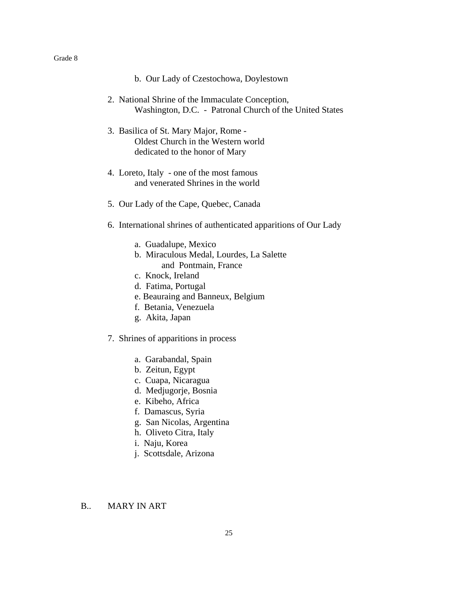|  |  |  |  | b. Our Lady of Czestochowa, Doylestown |  |  |
|--|--|--|--|----------------------------------------|--|--|
|--|--|--|--|----------------------------------------|--|--|

- 2. National Shrine of the Immaculate Conception, Washington, D.C. - Patronal Church of the United States
- 3. Basilica of St. Mary Major, Rome Oldest Church in the Western world dedicated to the honor of Mary
- 4. Loreto, Italy one of the most famous and venerated Shrines in the world
- 5. Our Lady of the Cape, Quebec, Canada
- 6. International shrines of authenticated apparitions of Our Lady
	- a. Guadalupe, Mexico
	- b. Miraculous Medal, Lourdes, La Salette and Pontmain, France
	- c. Knock, Ireland
	- d. Fatima, Portugal
	- e. Beauraing and Banneux, Belgium
	- f. Betania, Venezuela
	- g. Akita, Japan
- 7. Shrines of apparitions in process
	- a. Garabandal, Spain
	- b. Zeitun, Egypt
	- c. Cuapa, Nicaragua
	- d. Medjugorje, Bosnia
	- e. Kibeho, Africa
	- f. Damascus, Syria
	- g. San Nicolas, Argentina
	- h. Oliveto Citra, Italy
	- i. Naju, Korea
	- j. Scottsdale, Arizona

#### B.. MARY IN ART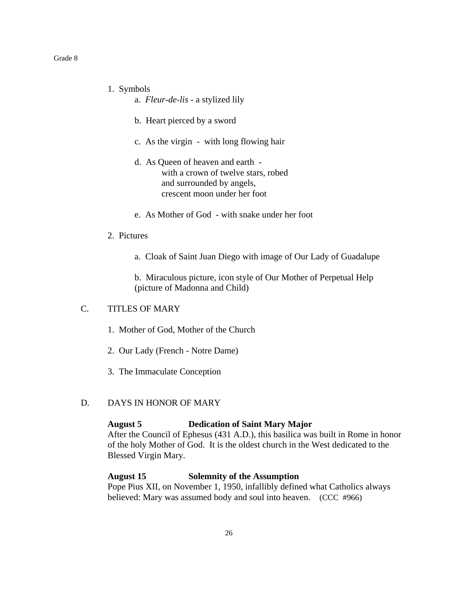- 1. Symbols
	- a. *Fleur-de-lis* a stylized lily
	- b. Heart pierced by a sword
	- c. As the virgin with long flowing hair
	- d. As Queen of heaven and earth with a crown of twelve stars, robed and surrounded by angels, crescent moon under her foot
	- e. As Mother of God with snake under her foot
- 2. Pictures
	- a. Cloak of Saint Juan Diego with image of Our Lady of Guadalupe

b. Miraculous picture, icon style of Our Mother of Perpetual Help (picture of Madonna and Child)

# C. TITLES OF MARY

- 1. Mother of God, Mother of the Church
- 2. Our Lady (French Notre Dame)
- 3. The Immaculate Conception

# D. DAYS IN HONOR OF MARY

#### **August 5 Dedication of Saint Mary Major**

After the Council of Ephesus (431 A.D.), this basilica was built in Rome in honor of the holy Mother of God. It is the oldest church in the West dedicated to the Blessed Virgin Mary.

#### **August 15 Solemnity of the Assumption**

Pope Pius XII, on November 1, 1950, infallibly defined what Catholics always believed: Mary was assumed body and soul into heaven. (CCC #966)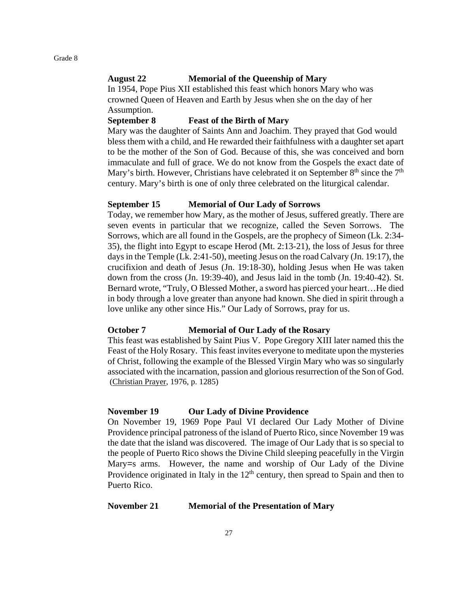#### **August 22 Memorial of the Queenship of Mary**

In 1954, Pope Pius XII established this feast which honors Mary who was crowned Queen of Heaven and Earth by Jesus when she on the day of her Assumption.

#### **September 8 Feast of the Birth of Mary**

Mary was the daughter of Saints Ann and Joachim. They prayed that God would bless them with a child, and He rewarded their faithfulness with a daughter set apart to be the mother of the Son of God. Because of this, she was conceived and born immaculate and full of grace. We do not know from the Gospels the exact date of Mary's birth. However, Christians have celebrated it on September  $8<sup>th</sup>$  since the  $7<sup>th</sup>$ century. Mary's birth is one of only three celebrated on the liturgical calendar.

#### **September 15 Memorial of Our Lady of Sorrows**

Today, we remember how Mary, as the mother of Jesus, suffered greatly. There are seven events in particular that we recognize, called the Seven Sorrows. The Sorrows, which are all found in the Gospels, are the prophecy of Simeon (Lk. 2:34- 35), the flight into Egypt to escape Herod (Mt. 2:13-21), the loss of Jesus for three days in the Temple (Lk. 2:41-50), meeting Jesus on the road Calvary (Jn. 19:17), the crucifixion and death of Jesus (Jn. 19:18-30), holding Jesus when He was taken down from the cross (Jn. 19:39-40), and Jesus laid in the tomb (Jn. 19:40-42). St. Bernard wrote, "Truly, O Blessed Mother, a sword has pierced your heart…He died in body through a love greater than anyone had known. She died in spirit through a love unlike any other since His." Our Lady of Sorrows, pray for us.

#### **October 7 Memorial of Our Lady of the Rosary**

This feast was established by Saint Pius V. Pope Gregory XIII later named this the Feast of the Holy Rosary. This feast invites everyone to meditate upon the mysteries of Christ, following the example of the Blessed Virgin Mary who was so singularly associated with the incarnation, passion and glorious resurrection of the Son of God. (Christian Prayer, 1976, p. 1285)

#### **November 19 Our Lady of Divine Providence**

On November 19, 1969 Pope Paul VI declared Our Lady Mother of Divine Providence principal patroness of the island of Puerto Rico, since November 19 was the date that the island was discovered. The image of Our Lady that is so special to the people of Puerto Rico shows the Divine Child sleeping peacefully in the Virgin Mary=s arms. However, the name and worship of Our Lady of the Divine Providence originated in Italy in the  $12<sup>th</sup>$  century, then spread to Spain and then to Puerto Rico.

#### **November 21 Memorial of the Presentation of Mary**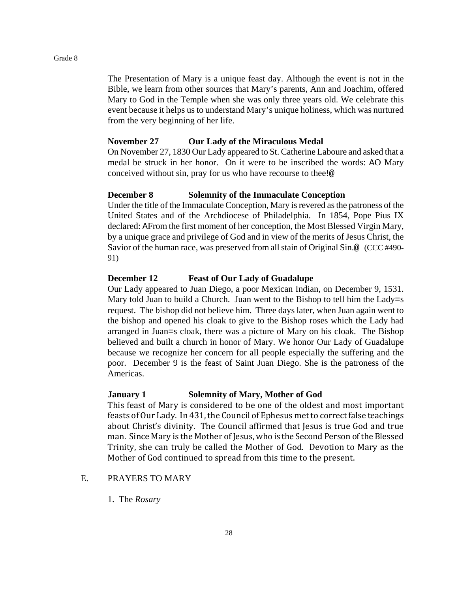The Presentation of Mary is a unique feast day. Although the event is not in the Bible, we learn from other sources that Mary's parents, Ann and Joachim, offered Mary to God in the Temple when she was only three years old. We celebrate this event because it helps us to understand Mary's unique holiness, which was nurtured from the very beginning of her life.

#### **November 27 Our Lady of the Miraculous Medal**

On November 27, 1830 Our Lady appeared to St. Catherine Laboure and asked that a medal be struck in her honor. On it were to be inscribed the words: AO Mary conceived without sin, pray for us who have recourse to thee!@

# **December 8 Solemnity of the Immaculate Conception**

Under the title of the Immaculate Conception, Mary is revered as the patroness of the United States and of the Archdiocese of Philadelphia. In 1854, Pope Pius IX declared: AFrom the first moment of her conception, the Most Blessed Virgin Mary, by a unique grace and privilege of God and in view of the merits of Jesus Christ, the Savior of the human race, was preserved from all stain of Original Sin.@ (CCC #490- 91)

### **December 12 Feast of Our Lady of Guadalupe**

Our Lady appeared to Juan Diego, a poor Mexican Indian, on December 9, 1531. Mary told Juan to build a Church. Juan went to the Bishop to tell him the Lady=s request. The bishop did not believe him. Three days later, when Juan again went to the bishop and opened his cloak to give to the Bishop roses which the Lady had arranged in Juan=s cloak, there was a picture of Mary on his cloak. The Bishop believed and built a church in honor of Mary. We honor Our Lady of Guadalupe because we recognize her concern for all people especially the suffering and the poor. December 9 is the feast of Saint Juan Diego. She is the patroness of the Americas.

#### **January 1 Solemnity of Mary, Mother of God**

This feast of Mary is considered to be one of the oldest and most important feasts of Our Lady. In 431, the Council of Ephesus met to correct false teachings about Christ's divinity. The Council affirmed that Jesus is true God and true man. Since Mary is the Mother of Jesus, who is the Second Person of the Blessed Trinity, she can truly be called the Mother of God. Devotion to Mary as the Mother of God continued to spread from this time to the present.

# E. PRAYERS TO MARY

1. The *Rosary*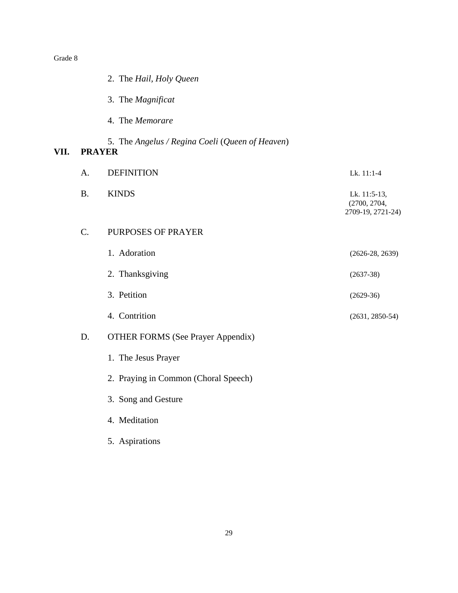$VII.$ 

|                 | 2. The Hail, Holy Queen                         |                                                   |
|-----------------|-------------------------------------------------|---------------------------------------------------|
|                 | 3. The Magnificat                               |                                                   |
|                 | 4. The Memorare                                 |                                                   |
| <b>PRAYER</b>   | 5. The Angelus / Regina Coeli (Queen of Heaven) |                                                   |
| A.              | <b>DEFINITION</b>                               | Lk. 11:1-4                                        |
| <b>B.</b>       | <b>KINDS</b>                                    | Lk. 11:5-13,<br>(2700, 2704,<br>2709-19, 2721-24) |
| $\mathcal{C}$ . | PURPOSES OF PRAYER                              |                                                   |
|                 | 1. Adoration                                    | $(2626-28, 2639)$                                 |
|                 | 2. Thanksgiving                                 | $(2637-38)$                                       |
|                 | 3. Petition                                     | $(2629-36)$                                       |
|                 | 4. Contrition                                   | $(2631, 2850-54)$                                 |
| D.              | <b>OTHER FORMS (See Prayer Appendix)</b>        |                                                   |
|                 | 1. The Jesus Prayer                             |                                                   |
|                 | 2. Praying in Common (Choral Speech)            |                                                   |
|                 | 3. Song and Gesture                             |                                                   |
|                 | 4. Meditation                                   |                                                   |
|                 | 5. Aspirations                                  |                                                   |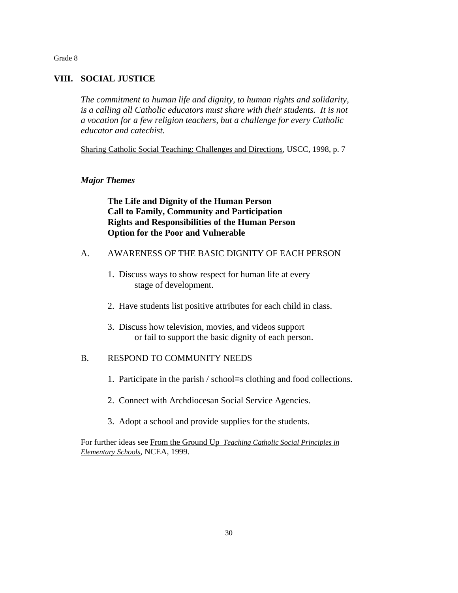# **VIII. SOCIAL JUSTICE**

*The commitment to human life and dignity, to human rights and solidarity, is a calling all Catholic educators must share with their students. It is not a vocation for a few religion teachers, but a challenge for every Catholic educator and catechist.*

Sharing Catholic Social Teaching: Challenges and Directions, USCC, 1998, p. 7

#### *Major Themes*

**The Life and Dignity of the Human Person Call to Family, Community and Participation Rights and Responsibilities of the Human Person Option for the Poor and Vulnerable**

- A. AWARENESS OF THE BASIC DIGNITY OF EACH PERSON
	- 1. Discuss ways to show respect for human life at every stage of development.
	- 2. Have students list positive attributes for each child in class.
	- 3. Discuss how television, movies, and videos support or fail to support the basic dignity of each person.

# B. RESPOND TO COMMUNITY NEEDS

- 1. Participate in the parish / school=s clothing and food collections.
- 2. Connect with Archdiocesan Social Service Agencies.
- 3. Adopt a school and provide supplies for the students.

For further ideas see From the Ground Up *Teaching Catholic Social Principles in Elementary Schools*, NCEA, 1999.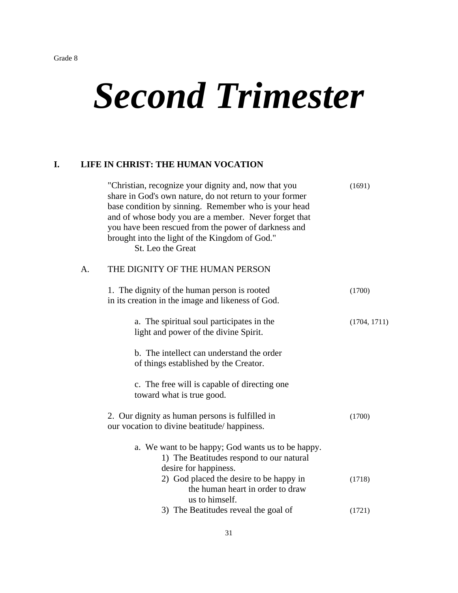# *Second Trimester*

# **I. LIFE IN CHRIST: THE HUMAN VOCATION**

|    | "Christian, recognize your dignity and, now that you<br>share in God's own nature, do not return to your former<br>base condition by sinning. Remember who is your head<br>and of whose body you are a member. Never forget that<br>you have been rescued from the power of darkness and<br>brought into the light of the Kingdom of God."<br>St. Leo the Great | (1691)       |
|----|-----------------------------------------------------------------------------------------------------------------------------------------------------------------------------------------------------------------------------------------------------------------------------------------------------------------------------------------------------------------|--------------|
| A. | THE DIGNITY OF THE HUMAN PERSON                                                                                                                                                                                                                                                                                                                                 |              |
|    | 1. The dignity of the human person is rooted<br>in its creation in the image and likeness of God.                                                                                                                                                                                                                                                               | (1700)       |
|    | a. The spiritual soul participates in the<br>light and power of the divine Spirit.                                                                                                                                                                                                                                                                              | (1704, 1711) |
|    | b. The intellect can understand the order<br>of things established by the Creator.                                                                                                                                                                                                                                                                              |              |
|    | c. The free will is capable of directing one<br>toward what is true good.                                                                                                                                                                                                                                                                                       |              |
|    | 2. Our dignity as human persons is fulfilled in<br>our vocation to divine beatitude/happiness.                                                                                                                                                                                                                                                                  | (1700)       |
|    | a. We want to be happy; God wants us to be happy.<br>1) The Beatitudes respond to our natural<br>desire for happiness.                                                                                                                                                                                                                                          |              |
|    | 2) God placed the desire to be happy in<br>the human heart in order to draw<br>us to himself.                                                                                                                                                                                                                                                                   | (1718)       |
|    | 3) The Beatitudes reveal the goal of                                                                                                                                                                                                                                                                                                                            | (1721)       |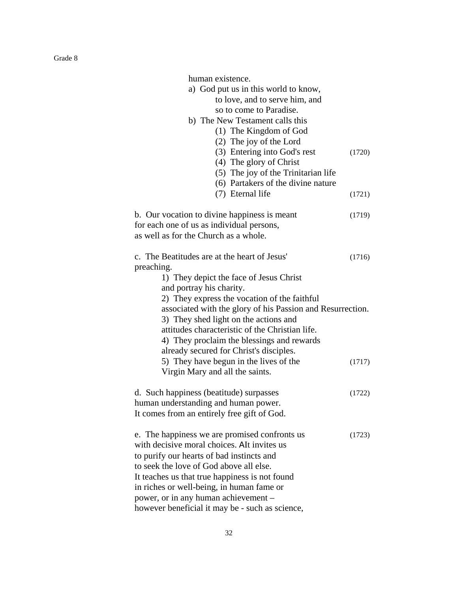| human existence.<br>a) God put us in this world to know,<br>to love, and to serve him, and<br>so to come to Paradise.<br>b) The New Testament calls this<br>(1) The Kingdom of God<br>(2) The joy of the Lord<br>(3) Entering into God's rest<br>(4) The glory of Christ<br>(5) The joy of the Trinitarian life<br>(6) Partakers of the divine nature                                     | (1720) |
|-------------------------------------------------------------------------------------------------------------------------------------------------------------------------------------------------------------------------------------------------------------------------------------------------------------------------------------------------------------------------------------------|--------|
| (7) Eternal life                                                                                                                                                                                                                                                                                                                                                                          | (1721) |
| b. Our vocation to divine happiness is meant<br>for each one of us as individual persons,<br>as well as for the Church as a whole.                                                                                                                                                                                                                                                        | (1719) |
| c. The Beatitudes are at the heart of Jesus'<br>preaching.<br>1) They depict the face of Jesus Christ<br>and portray his charity.<br>2) They express the vocation of the faithful<br>associated with the glory of his Passion and Resurrection.<br>3) They shed light on the actions and<br>attitudes characteristic of the Christian life.<br>4) They proclaim the blessings and rewards | (1716) |
| already secured for Christ's disciples.<br>5) They have begun in the lives of the<br>Virgin Mary and all the saints.                                                                                                                                                                                                                                                                      | (1717) |
| d. Such happiness (beatitude) surpasses<br>human understanding and human power.<br>It comes from an entirely free gift of God.                                                                                                                                                                                                                                                            | (1722) |
| e. The happiness we are promised confronts us<br>with decisive moral choices. AIt invites us<br>to purify our hearts of bad instincts and<br>to seek the love of God above all else.<br>It teaches us that true happiness is not found<br>in riches or well-being, in human fame or<br>power, or in any human achievement -<br>however beneficial it may be - such as science,            | (1723) |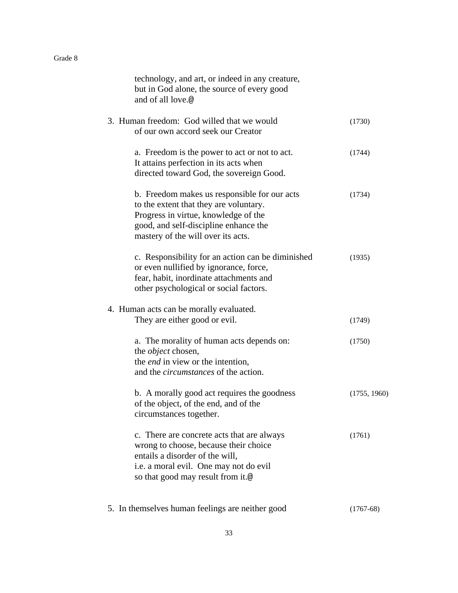| technology, and art, or indeed in any creature,<br>but in God alone, the source of every good<br>and of all love.@                                                                                            |              |
|---------------------------------------------------------------------------------------------------------------------------------------------------------------------------------------------------------------|--------------|
| 3. Human freedom: God willed that we would<br>of our own accord seek our Creator                                                                                                                              | (1730)       |
| a. Freedom is the power to act or not to act.<br>It attains perfection in its acts when<br>directed toward God, the sovereign Good.                                                                           | (1744)       |
| b. Freedom makes us responsible for our acts<br>to the extent that they are voluntary.<br>Progress in virtue, knowledge of the<br>good, and self-discipline enhance the<br>mastery of the will over its acts. | (1734)       |
| c. Responsibility for an action can be diminished<br>or even nullified by ignorance, force,<br>fear, habit, inordinate attachments and<br>other psychological or social factors.                              | (1935)       |
| 4. Human acts can be morally evaluated.<br>They are either good or evil.                                                                                                                                      | (1749)       |
| a. The morality of human acts depends on:<br>the <i>object</i> chosen,<br>the <i>end</i> in view or the intention,<br>and the <i>circumstances</i> of the action.                                             | (1750)       |
| b. A morally good act requires the goodness<br>of the object, of the end, and of the<br>circumstances together.                                                                                               | (1755, 1960) |
| c. There are concrete acts that are always<br>wrong to choose, because their choice<br>entails a disorder of the will,<br>i.e. a moral evil. One may not do evil<br>so that good may result from it.@         | (1761)       |
| 5. In themselves human feelings are neither good                                                                                                                                                              | $(1767-68)$  |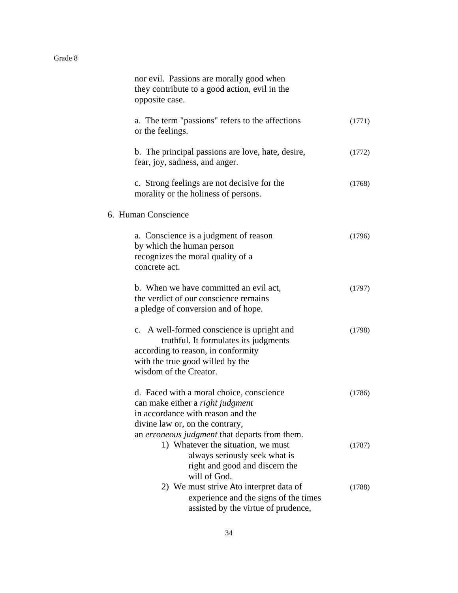| nor evil. Passions are morally good when<br>they contribute to a good action, evil in the<br>opposite case.                                                                             |        |
|-----------------------------------------------------------------------------------------------------------------------------------------------------------------------------------------|--------|
| a. The term "passions" refers to the affections<br>or the feelings.                                                                                                                     | (1771) |
| b. The principal passions are love, hate, desire,<br>fear, joy, sadness, and anger.                                                                                                     | (1772) |
| c. Strong feelings are not decisive for the<br>morality or the holiness of persons.                                                                                                     | (1768) |
| 6. Human Conscience                                                                                                                                                                     |        |
| a. Conscience is a judgment of reason<br>by which the human person<br>recognizes the moral quality of a<br>concrete act.                                                                | (1796) |
| b. When we have committed an evil act,<br>the verdict of our conscience remains<br>a pledge of conversion and of hope.                                                                  | (1797) |
| c. A well-formed conscience is upright and<br>truthful. It formulates its judgments<br>according to reason, in conformity<br>with the true good willed by the<br>wisdom of the Creator. | (1798) |
| d. Faced with a moral choice, conscience<br>can make either a <i>right judgment</i><br>in accordance with reason and the<br>divine law or, on the contrary,                             | (1786) |
| an erroneous judgment that departs from them.<br>1) Whatever the situation, we must<br>always seriously seek what is<br>right and good and discern the<br>will of God.                  | (1787) |
| 2) We must strive Ato interpret data of<br>experience and the signs of the times<br>assisted by the virtue of prudence,                                                                 | (1788) |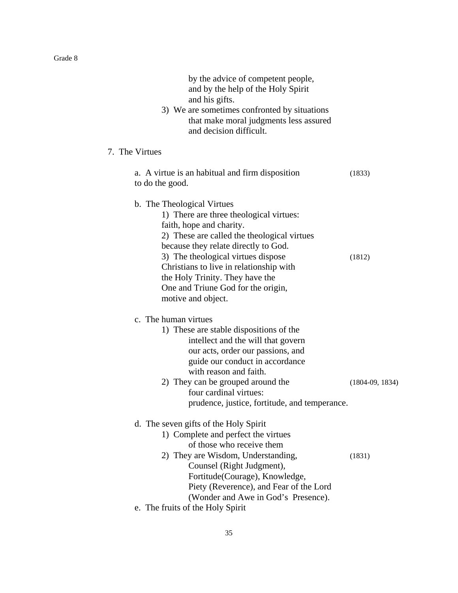| by the advice of competent people,<br>and by the help of the Holy Spirit<br>and his gifts.<br>3) We are sometimes confronted by situations<br>that make moral judgments less assured<br>and decision difficult.                                                                                                                                                          |                   |
|--------------------------------------------------------------------------------------------------------------------------------------------------------------------------------------------------------------------------------------------------------------------------------------------------------------------------------------------------------------------------|-------------------|
| 7. The Virtues                                                                                                                                                                                                                                                                                                                                                           |                   |
| a. A virtue is an habitual and firm disposition<br>to do the good.                                                                                                                                                                                                                                                                                                       | (1833)            |
| b. The Theological Virtues<br>1) There are three theological virtues:<br>faith, hope and charity.<br>2) These are called the theological virtues<br>because they relate directly to God.<br>3) The theological virtues dispose<br>Christians to live in relationship with<br>the Holy Trinity. They have the<br>One and Triune God for the origin,<br>motive and object. | (1812)            |
| c. The human virtues<br>1) These are stable dispositions of the<br>intellect and the will that govern<br>our acts, order our passions, and<br>guide our conduct in accordance<br>with reason and faith.<br>2) They can be grouped around the<br>four cardinal virtues:<br>prudence, justice, fortitude, and temperance.                                                  | $(1804-09, 1834)$ |
| d. The seven gifts of the Holy Spirit<br>1) Complete and perfect the virtues<br>of those who receive them<br>2) They are Wisdom, Understanding,<br>Counsel (Right Judgment),<br>Fortitude(Courage), Knowledge,<br>Piety (Reverence), and Fear of the Lord<br>(Wonder and Awe in God's Presence).                                                                         | (1831)            |
| e. The fruits of the Holy Spirit                                                                                                                                                                                                                                                                                                                                         |                   |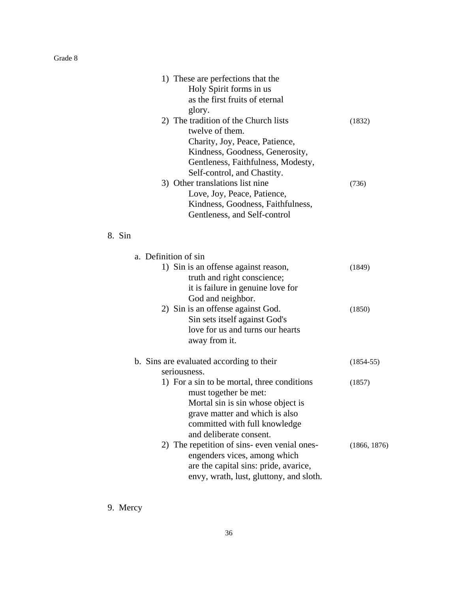| 1) These are perfections that the    |        |
|--------------------------------------|--------|
| Holy Spirit forms in us.             |        |
| as the first fruits of eternal       |        |
| glory.                               |        |
| 2) The tradition of the Church lists | (1832) |
| twelve of them.                      |        |
| Charity, Joy, Peace, Patience,       |        |
| Kindness, Goodness, Generosity,      |        |
| Gentleness, Faithfulness, Modesty,   |        |
| Self-control, and Chastity.          |        |
| 3) Other translations list nine      | (736)  |
| Love, Joy, Peace, Patience,          |        |
| Kindness, Goodness, Faithfulness,    |        |
| Gentleness, and Self-control         |        |
| 8. Sin                               |        |
| a. Definition of sin                 |        |
| 1) Sin is an offense against reason, | (1849) |
| truth and right conscience;          |        |

| a. Definition of sin<br>1) Sin is an offense against reason,<br>truth and right conscience;<br>it is failure in genuine love for<br>God and neighbor.                                                                   | (1849)        |
|-------------------------------------------------------------------------------------------------------------------------------------------------------------------------------------------------------------------------|---------------|
| 2) Sin is an offense against God.<br>Sin sets itself against God's<br>love for us and turns our hearts<br>away from it.                                                                                                 | (1850)        |
| b. Sins are evaluated according to their                                                                                                                                                                                | $(1854 - 55)$ |
| seriousness.<br>1) For a sin to be mortal, three conditions<br>must together be met:<br>Mortal sin is sin whose object is<br>grave matter and which is also<br>committed with full knowledge<br>and deliberate consent. | (1857)        |
| 2) The repetition of sins-even venial ones-<br>engenders vices, among which<br>are the capital sins: pride, avarice,<br>envy, wrath, lust, gluttony, and sloth.                                                         | (1866, 1876)  |

9. Mercy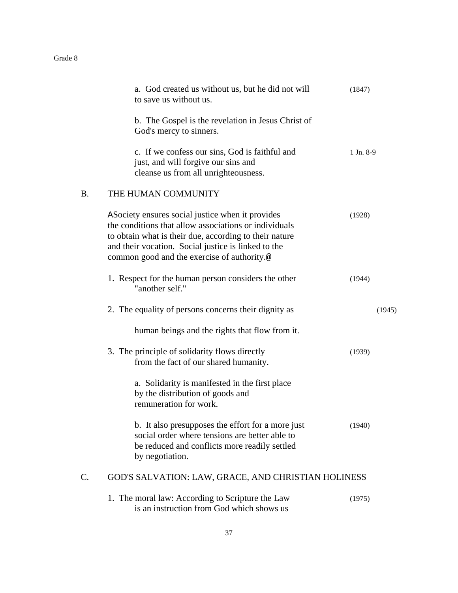|           | a. God created us without us, but he did not will<br>to save us without us.                                                                                                                                                                                                | (1847)    |
|-----------|----------------------------------------------------------------------------------------------------------------------------------------------------------------------------------------------------------------------------------------------------------------------------|-----------|
|           | b. The Gospel is the revelation in Jesus Christ of<br>God's mercy to sinners.                                                                                                                                                                                              |           |
|           | c. If we confess our sins, God is faithful and<br>just, and will forgive our sins and<br>cleanse us from all unrighteousness.                                                                                                                                              | 1 Jn. 8-9 |
| <b>B.</b> | THE HUMAN COMMUNITY                                                                                                                                                                                                                                                        |           |
|           | A Society ensures social justice when it provides<br>the conditions that allow associations or individuals<br>to obtain what is their due, according to their nature<br>and their vocation. Social justice is linked to the<br>common good and the exercise of authority.@ | (1928)    |
|           | 1. Respect for the human person considers the other<br>"another self."                                                                                                                                                                                                     | (1944)    |
|           | 2. The equality of persons concerns their dignity as                                                                                                                                                                                                                       | (1945)    |
|           | human beings and the rights that flow from it.                                                                                                                                                                                                                             |           |
|           | 3. The principle of solidarity flows directly<br>from the fact of our shared humanity.                                                                                                                                                                                     | (1939)    |
|           | a. Solidarity is manifested in the first place<br>by the distribution of goods and<br>remuneration for work.                                                                                                                                                               |           |
|           | b. It also presupposes the effort for a more just<br>social order where tensions are better able to<br>be reduced and conflicts more readily settled<br>by negotiation.                                                                                                    | (1940)    |
| C.        | GOD'S SALVATION: LAW, GRACE, AND CHRISTIAN HOLINESS                                                                                                                                                                                                                        |           |
|           | 1. The moral law: According to Scripture the Law<br>is an instruction from God which shows us                                                                                                                                                                              | (1975)    |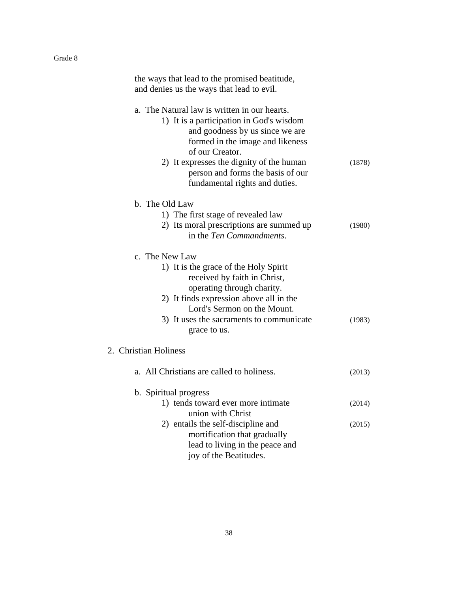| the ways that lead to the promised beatitude,<br>and denies us the ways that lead to evil.                                                                                                                                                                                                            |        |
|-------------------------------------------------------------------------------------------------------------------------------------------------------------------------------------------------------------------------------------------------------------------------------------------------------|--------|
| a. The Natural law is written in our hearts.<br>1) It is a participation in God's wisdom<br>and goodness by us since we are<br>formed in the image and likeness<br>of our Creator.<br>2) It expresses the dignity of the human<br>person and forms the basis of our<br>fundamental rights and duties. | (1878) |
| b. The Old Law                                                                                                                                                                                                                                                                                        |        |
| 1) The first stage of revealed law<br>2) Its moral prescriptions are summed up<br>in the Ten Commandments.                                                                                                                                                                                            | (1980) |
| c. The New Law<br>1) It is the grace of the Holy Spirit<br>received by faith in Christ,<br>operating through charity.<br>2) It finds expression above all in the<br>Lord's Sermon on the Mount.<br>3) It uses the sacraments to communicate<br>grace to us.                                           | (1983) |
| 2. Christian Holiness                                                                                                                                                                                                                                                                                 |        |
| a. All Christians are called to holiness.                                                                                                                                                                                                                                                             | (2013) |
| b. Spiritual progress                                                                                                                                                                                                                                                                                 |        |
| 1) tends toward ever more intimate<br>union with Christ                                                                                                                                                                                                                                               | (2014) |
| 2) entails the self-discipline and<br>mortification that gradually<br>lead to living in the peace and<br>joy of the Beatitudes.                                                                                                                                                                       | (2015) |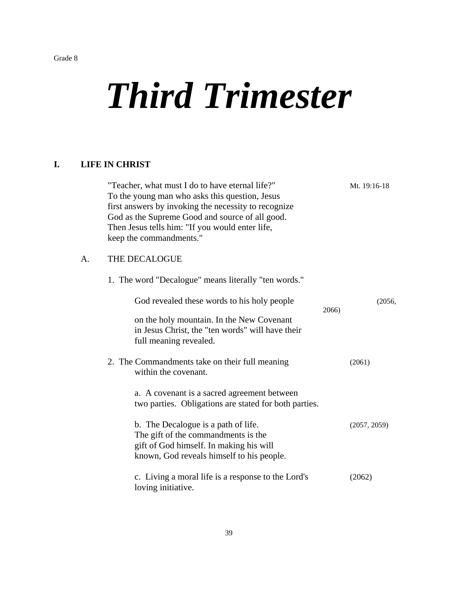# *Third Trimester*

# **I. LIFE IN CHRIST**

|    | "Teacher, what must I do to have eternal life?"<br>To the young man who asks this question, Jesus<br>first answers by invoking the necessity to recognize<br>God as the Supreme Good and source of all good.<br>Then Jesus tells him: "If you would enter life,<br>keep the commandments." |       | Mt. 19:16-18 |
|----|--------------------------------------------------------------------------------------------------------------------------------------------------------------------------------------------------------------------------------------------------------------------------------------------|-------|--------------|
| А. | THE DECALOGUE                                                                                                                                                                                                                                                                              |       |              |
|    | 1. The word "Decalogue" means literally "ten words."                                                                                                                                                                                                                                       |       |              |
|    | God revealed these words to his holy people                                                                                                                                                                                                                                                | 2066) | (2056,       |
|    | on the holy mountain. In the New Covenant<br>in Jesus Christ, the "ten words" will have their<br>full meaning revealed.                                                                                                                                                                    |       |              |
|    | 2. The Commandments take on their full meaning<br>within the covenant.                                                                                                                                                                                                                     |       | (2061)       |
|    | a. A covenant is a sacred agreement between<br>two parties. Obligations are stated for both parties.                                                                                                                                                                                       |       |              |
|    | b. The Decalogue is a path of life.<br>The gift of the commandments is the<br>gift of God himself. In making his will<br>known, God reveals himself to his people.                                                                                                                         |       | (2057, 2059) |
|    | c. Living a moral life is a response to the Lord's<br>loving initiative.                                                                                                                                                                                                                   |       | (2062)       |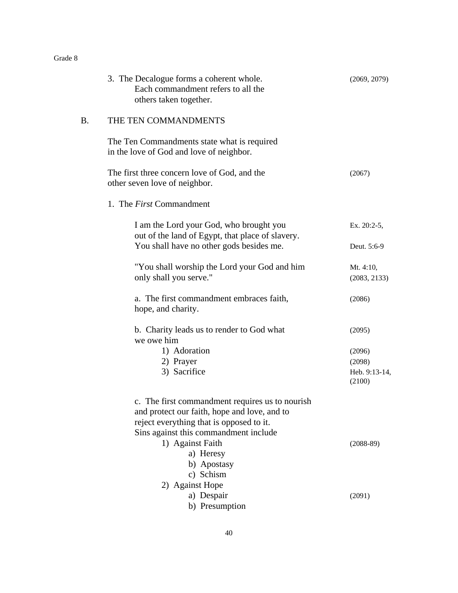|    | 3. The Decalogue forms a coherent whole.<br>Each commandment refers to all the<br>others taken together.                                                                             | (2069, 2079)              |
|----|--------------------------------------------------------------------------------------------------------------------------------------------------------------------------------------|---------------------------|
| B. | THE TEN COMMANDMENTS                                                                                                                                                                 |                           |
|    | The Ten Commandments state what is required<br>in the love of God and love of neighbor.                                                                                              |                           |
|    | The first three concern love of God, and the<br>other seven love of neighbor.                                                                                                        | (2067)                    |
|    | 1. The <i>First</i> Commandment                                                                                                                                                      |                           |
|    | I am the Lord your God, who brought you<br>out of the land of Egypt, that place of slavery.                                                                                          | Ex. 20:2-5,               |
|    | You shall have no other gods besides me.                                                                                                                                             | Deut. 5:6-9               |
|    | "You shall worship the Lord your God and him<br>only shall you serve."                                                                                                               | Mt. 4:10,<br>(2083, 2133) |
|    | a. The first commandment embraces faith,<br>hope, and charity.                                                                                                                       | (2086)                    |
|    | b. Charity leads us to render to God what<br>we owe him                                                                                                                              | (2095)                    |
|    | 1) Adoration                                                                                                                                                                         | (2096)                    |
|    | 2) Prayer                                                                                                                                                                            | (2098)                    |
|    | 3) Sacrifice                                                                                                                                                                         | Heb. 9:13-14,<br>(2100)   |
|    | c. The first commandment requires us to nourish<br>and protect our faith, hope and love, and to<br>reject everything that is opposed to it.<br>Sins against this commandment include |                           |
|    | 1) Against Faith                                                                                                                                                                     | $(2088-89)$               |
|    | a) Heresy                                                                                                                                                                            |                           |
|    | b) Apostasy                                                                                                                                                                          |                           |
|    | c) Schism                                                                                                                                                                            |                           |
|    | 2) Against Hope                                                                                                                                                                      |                           |
|    | a) Despair                                                                                                                                                                           | (2091)                    |
|    | b) Presumption                                                                                                                                                                       |                           |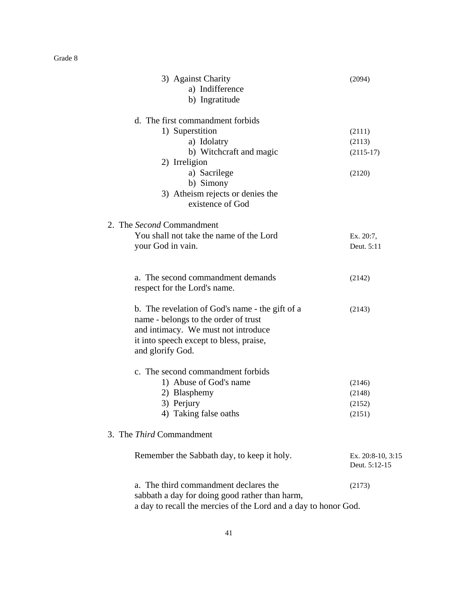| 3) Against Charity                                              | (2094)            |
|-----------------------------------------------------------------|-------------------|
| a) Indifference                                                 |                   |
| b) Ingratitude                                                  |                   |
| d. The first commandment forbids                                |                   |
| 1) Superstition                                                 | (2111)            |
| a) Idolatry                                                     | (2113)            |
| b) Witchcraft and magic                                         | $(2115-17)$       |
| 2) Irreligion                                                   |                   |
| a) Sacrilege                                                    | (2120)            |
| b) Simony                                                       |                   |
| 3) Atheism rejects or denies the                                |                   |
| existence of God                                                |                   |
| 2. The Second Commandment                                       |                   |
| You shall not take the name of the Lord                         | Ex. 20:7,         |
| your God in vain.                                               | Deut. 5:11        |
|                                                                 |                   |
| a. The second commandment demands                               | (2142)            |
| respect for the Lord's name.                                    |                   |
| b. The revelation of God's name - the gift of a                 | (2143)            |
| name - belongs to the order of trust                            |                   |
| and intimacy. We must not introduce                             |                   |
| it into speech except to bless, praise,                         |                   |
| and glorify God.                                                |                   |
| c. The second commandment forbids                               |                   |
| 1) Abuse of God's name                                          | (2146)            |
| 2) Blasphemy                                                    | (2148)            |
| 3) Perjury                                                      | (2152)            |
| 4) Taking false oaths                                           | (2151)            |
| 3. The <i>Third</i> Commandment                                 |                   |
| Remember the Sabbath day, to keep it holy.                      | Ex. 20:8-10, 3:15 |
|                                                                 | Deut. 5:12-15     |
| a. The third commandment declares the                           | (2173)            |
| sabbath a day for doing good rather than harm,                  |                   |
| a day to recall the mercies of the Lord and a day to honor God. |                   |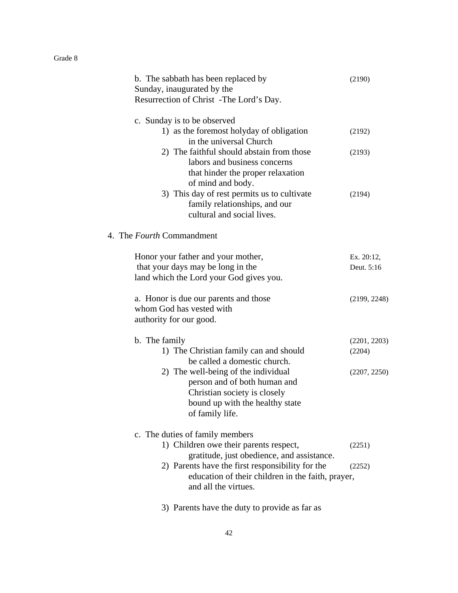| b. The sabbath has been replaced by<br>Sunday, inaugurated by the<br>Resurrection of Christ -The Lord's Day.                                              | (2190)                   |
|-----------------------------------------------------------------------------------------------------------------------------------------------------------|--------------------------|
| c. Sunday is to be observed<br>1) as the foremost holyday of obligation<br>in the universal Church                                                        | (2192)                   |
| 2) The faithful should abstain from those<br>labors and business concerns<br>that hinder the proper relaxation<br>of mind and body.                       | (2193)                   |
| 3) This day of rest permits us to cultivate<br>family relationships, and our<br>cultural and social lives.                                                | (2194)                   |
| 4. The <i>Fourth</i> Commandment                                                                                                                          |                          |
| Honor your father and your mother,<br>that your days may be long in the<br>land which the Lord your God gives you.                                        | Ex. 20:12,<br>Deut. 5:16 |
| a. Honor is due our parents and those<br>whom God has vested with<br>authority for our good.                                                              | (2199, 2248)             |
| b. The family                                                                                                                                             | (2201, 2203)             |
| 1) The Christian family can and should<br>be called a domestic church.                                                                                    | (2204)                   |
| 2) The well-being of the individual<br>person and of both human and<br>Christian society is closely<br>bound up with the healthy state<br>of family life. | (2207, 2250)             |
| c. The duties of family members                                                                                                                           |                          |
| 1) Children owe their parents respect,<br>gratitude, just obedience, and assistance.                                                                      | (2251)                   |
| 2) Parents have the first responsibility for the<br>education of their children in the faith, prayer,<br>and all the virtues.                             | (2252)                   |
| 3) Parents have the duty to provide as far as                                                                                                             |                          |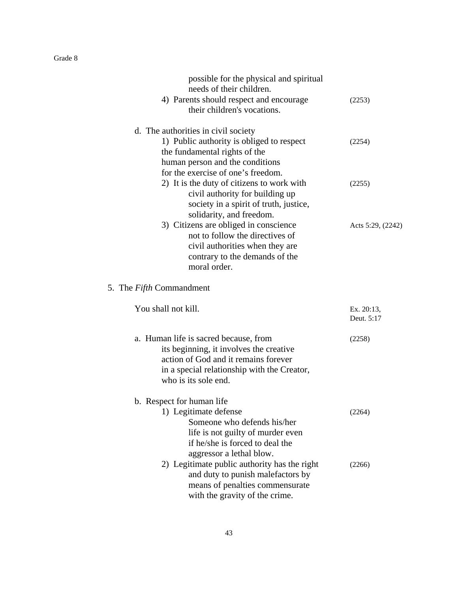| possible for the physical and spiritual<br>needs of their children.           |                          |
|-------------------------------------------------------------------------------|--------------------------|
| 4) Parents should respect and encourage<br>their children's vocations.        | (2253)                   |
| d. The authorities in civil society                                           |                          |
| 1) Public authority is obliged to respect                                     | (2254)                   |
| the fundamental rights of the                                                 |                          |
| human person and the conditions                                               |                          |
| for the exercise of one's freedom.                                            |                          |
| 2) It is the duty of citizens to work with<br>civil authority for building up | (2255)                   |
| society in a spirit of truth, justice,                                        |                          |
| solidarity, and freedom.                                                      |                          |
| 3) Citizens are obliged in conscience                                         | Acts 5:29, (2242)        |
| not to follow the directives of                                               |                          |
| civil authorities when they are                                               |                          |
| contrary to the demands of the                                                |                          |
| moral order.                                                                  |                          |
| 5. The <i>Fifth</i> Commandment                                               |                          |
| You shall not kill.                                                           | Ex. 20:13,<br>Deut. 5:17 |
| a. Human life is sacred because, from                                         | (2258)                   |
| its beginning, it involves the creative                                       |                          |
| action of God and it remains forever                                          |                          |
| in a special relationship with the Creator,                                   |                          |
| who is its sole end.                                                          |                          |
| b. Respect for human life                                                     |                          |
| 1) Legitimate defense                                                         | (2264)                   |
| Someone who defends his/her                                                   |                          |
| life is not guilty of murder even                                             |                          |
| if he/she is forced to deal the                                               |                          |
| aggressor a lethal blow.                                                      |                          |
| 2) Legitimate public authority has the right                                  | (2266)                   |
| and duty to punish malefactors by                                             |                          |
| means of penalties commensurate                                               |                          |
| with the gravity of the crime.                                                |                          |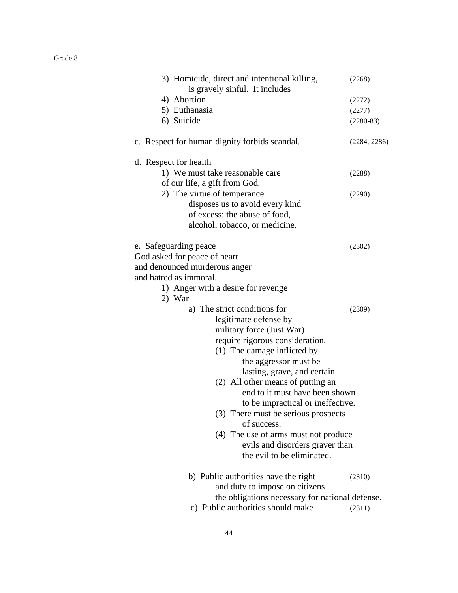| 3) Homicide, direct and intentional killing,<br>is gravely sinful. It includes | (2268)       |
|--------------------------------------------------------------------------------|--------------|
| 4) Abortion                                                                    | (2272)       |
| 5) Euthanasia                                                                  | (2277)       |
| 6) Suicide                                                                     | $(2280-83)$  |
| c. Respect for human dignity forbids scandal.                                  | (2284, 2286) |
| d. Respect for health                                                          |              |
| 1) We must take reasonable care                                                | (2288)       |
| of our life, a gift from God.                                                  |              |
| 2) The virtue of temperance                                                    | (2290)       |
| disposes us to avoid every kind                                                |              |
| of excess: the abuse of food,                                                  |              |
| alcohol, tobacco, or medicine.                                                 |              |
| e. Safeguarding peace                                                          | (2302)       |
| God asked for peace of heart                                                   |              |
| and denounced murderous anger                                                  |              |
| and hatred as immoral.                                                         |              |
| 1) Anger with a desire for revenge                                             |              |
| 2) War                                                                         |              |
| a) The strict conditions for                                                   | (2309)       |
| legitimate defense by                                                          |              |
| military force (Just War)                                                      |              |
| require rigorous consideration.                                                |              |
| (1) The damage inflicted by                                                    |              |
| the aggressor must be                                                          |              |
| lasting, grave, and certain.                                                   |              |
| (2) All other means of putting an                                              |              |
| end to it must have been shown                                                 |              |
| to be impractical or ineffective.                                              |              |
| (3) There must be serious prospects                                            |              |
| of success.                                                                    |              |
| (4) The use of arms must not produce                                           |              |
| evils and disorders graver than                                                |              |
| the evil to be eliminated.                                                     |              |
| b) Public authorities have the right                                           | (2310)       |
| and duty to impose on citizens                                                 |              |
| the obligations necessary for national defense.                                |              |
| c) Public authorities should make                                              | (2311)       |
|                                                                                |              |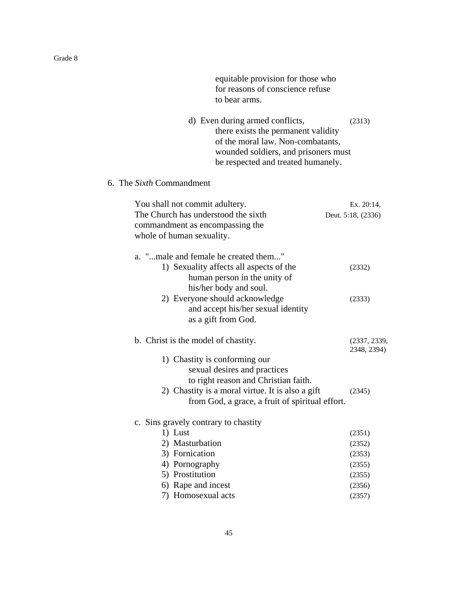equitable provision for those who for reasons of conscience refuse to bear arms. d) Even during armed conflicts, (2313) there exists the permanent validity of the moral law. Non-combatants, wounded soldiers, and prisoners must be respected and treated humanely. 6. The *Sixth* Commandment You shall not commit adultery. Ex. 20:14, The Church has understood the sixth Deut. 5:18, (2336) commandment as encompassing the whole of human sexuality. a. "...male and female he created them..." 1) Sexuality affects all aspects of the (2332) human person in the unity of his/her body and soul. 2) Everyone should acknowledge (2333) and accept his/her sexual identity as a gift from God. b. Christ is the model of chastity. (2337, 2339, 2348, 2394) 1) Chastity is conforming our sexual desires and practices to right reason and Christian faith. 2) Chastity is a moral virtue. It is also a gift (2345) from God, a grace, a fruit of spiritual effort. c. Sins gravely contrary to chastity 1) Lust (2351) 2) Masturbation (2352) 3) Fornication (2353) 4) Pornography (2355) 5) Prostitution (2355) 6) Rape and incest (2356) 7) Homosexual acts (2357)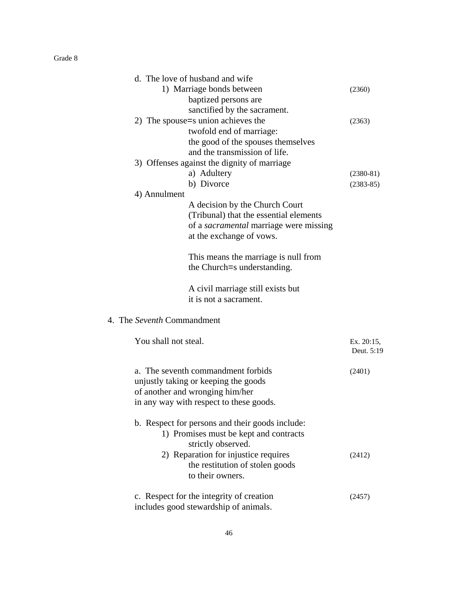| d. The love of husband and wife                 |             |
|-------------------------------------------------|-------------|
| 1) Marriage bonds between                       | (2360)      |
| baptized persons are                            |             |
| sanctified by the sacrament.                    |             |
| 2) The spouse = s union achieves the            | (2363)      |
| twofold end of marriage:                        |             |
| the good of the spouses themselves              |             |
| and the transmission of life.                   |             |
| 3) Offenses against the dignity of marriage     |             |
| a) Adultery                                     | $(2380-81)$ |
| b) Divorce                                      | $(2383-85)$ |
| 4) Annulment                                    |             |
| A decision by the Church Court                  |             |
| (Tribunal) that the essential elements          |             |
| of a sacramental marriage were missing          |             |
| at the exchange of vows.                        |             |
|                                                 |             |
| This means the marriage is null from            |             |
| the Church=s understanding.                     |             |
| A civil marriage still exists but               |             |
| it is not a sacrament.                          |             |
|                                                 |             |
| 4. The Seventh Commandment                      |             |
| You shall not steal.                            | Ex. 20:15,  |
|                                                 | Deut. 5:19  |
|                                                 |             |
| a. The seventh commandment forbids              | (2401)      |
| unjustly taking or keeping the goods            |             |
| of another and wronging him/her                 |             |
| in any way with respect to these goods.         |             |
| b. Respect for persons and their goods include: |             |
| 1) Promises must be kept and contracts          |             |
| strictly observed.                              |             |
| 2) Reparation for injustice requires            | (2412)      |
| the restitution of stolen goods                 |             |
| to their owners.                                |             |
|                                                 |             |
| c. Respect for the integrity of creation        | (2457)      |
| includes good stewardship of animals.           |             |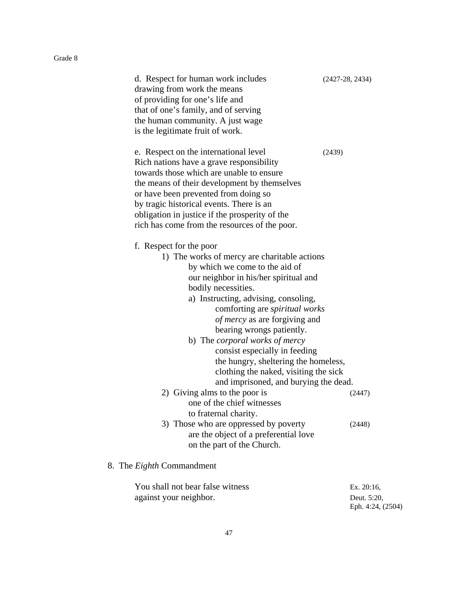| d. Respect for human work includes<br>drawing from work the means<br>of providing for one's life and | $(2427-28, 2434)$                                                              |
|------------------------------------------------------------------------------------------------------|--------------------------------------------------------------------------------|
| that of one's family, and of serving                                                                 |                                                                                |
| the human community. A just wage                                                                     |                                                                                |
| is the legitimate fruit of work.                                                                     |                                                                                |
| e. Respect on the international level<br>Rich nations have a grave responsibility                    | (2439)                                                                         |
| towards those which are unable to ensure                                                             |                                                                                |
| the means of their development by themselves                                                         |                                                                                |
| or have been prevented from doing so                                                                 |                                                                                |
| by tragic historical events. There is an                                                             |                                                                                |
| obligation in justice if the prosperity of the                                                       |                                                                                |
| rich has come from the resources of the poor.                                                        |                                                                                |
| f. Respect for the poor                                                                              |                                                                                |
|                                                                                                      | 1) The works of mercy are charitable actions                                   |
|                                                                                                      | by which we come to the aid of                                                 |
|                                                                                                      | our neighbor in his/her spiritual and                                          |
| bodily necessities.                                                                                  |                                                                                |
|                                                                                                      | a) Instructing, advising, consoling,                                           |
|                                                                                                      | comforting are <i>spiritual</i> works                                          |
|                                                                                                      | <i>of mercy</i> as are forgiving and                                           |
|                                                                                                      | bearing wrongs patiently.                                                      |
|                                                                                                      | b) The <i>corporal</i> works of mercy                                          |
|                                                                                                      | consist especially in feeding                                                  |
|                                                                                                      | the hungry, sheltering the homeless,                                           |
|                                                                                                      | clothing the naked, visiting the sick<br>and imprisoned, and burying the dead. |
| 2) Giving alms to the poor is                                                                        | (2447)                                                                         |
|                                                                                                      | one of the chief witnesses                                                     |
| to fraternal charity.                                                                                |                                                                                |
|                                                                                                      | 3) Those who are oppressed by poverty<br>(2448)                                |
|                                                                                                      | are the object of a preferential love                                          |
|                                                                                                      | on the part of the Church.                                                     |
| 8. The <i>Eighth</i> Commandment                                                                     |                                                                                |

| You shall not bear false witness | Ex. $20:16$ .     |
|----------------------------------|-------------------|
| against your neighbor.           | Deut. 5:20.       |
|                                  | Eph. 4:24, (2504) |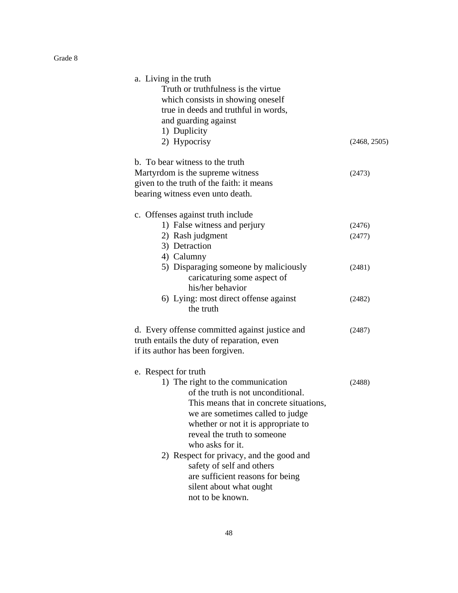| a. Living in the truth<br>Truth or truthfulness is the virtue<br>which consists in showing oneself<br>true in deeds and truthful in words,<br>and guarding against<br>1) Duplicity                                                                                                                                   |                  |
|----------------------------------------------------------------------------------------------------------------------------------------------------------------------------------------------------------------------------------------------------------------------------------------------------------------------|------------------|
| 2) Hypocrisy                                                                                                                                                                                                                                                                                                         | (2468, 2505)     |
| b. To bear witness to the truth<br>Martyrdom is the supreme witness<br>given to the truth of the faith: it means<br>bearing witness even unto death.                                                                                                                                                                 | (2473)           |
| c. Offenses against truth include<br>1) False witness and perjury<br>2) Rash judgment<br>3) Detraction<br>4) Calumny                                                                                                                                                                                                 | (2476)<br>(2477) |
| 5) Disparaging someone by maliciously<br>caricaturing some aspect of<br>his/her behavior                                                                                                                                                                                                                             | (2481)           |
| 6) Lying: most direct offense against<br>the truth                                                                                                                                                                                                                                                                   | (2482)           |
| d. Every offense committed against justice and<br>truth entails the duty of reparation, even<br>if its author has been forgiven.                                                                                                                                                                                     | (2487)           |
| e. Respect for truth<br>1) The right to the communication<br>of the truth is not unconditional.<br>This means that in concrete situations,<br>we are sometimes called to judge<br>whether or not it is appropriate to<br>reveal the truth to someone<br>who asks for it.<br>2) Respect for privacy, and the good and | (2488)           |
| safety of self and others<br>are sufficient reasons for being<br>silent about what ought<br>not to be known.                                                                                                                                                                                                         |                  |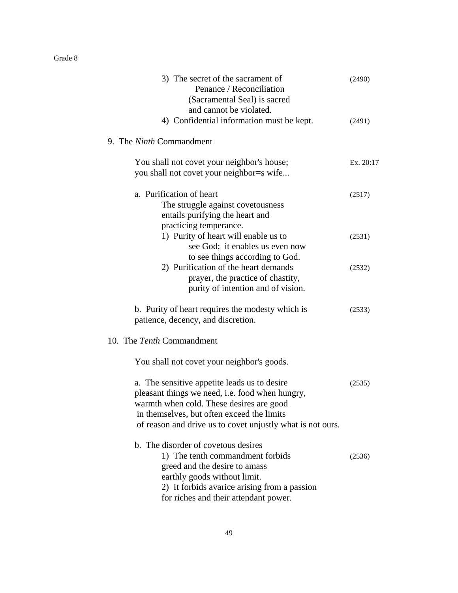| 3) The secret of the sacrament of<br>Penance / Reconciliation<br>(Sacramental Seal) is sacred<br>and cannot be violated.                                                                                                                                | (2490)    |
|---------------------------------------------------------------------------------------------------------------------------------------------------------------------------------------------------------------------------------------------------------|-----------|
| 4) Confidential information must be kept.                                                                                                                                                                                                               | (2491)    |
| 9. The <i>Ninth</i> Commandment                                                                                                                                                                                                                         |           |
| You shall not covet your neighbor's house;                                                                                                                                                                                                              | Ex. 20:17 |
| you shall not covet your neighbor=s wife                                                                                                                                                                                                                |           |
| a. Purification of heart<br>The struggle against covetousness<br>entails purifying the heart and<br>practicing temperance.                                                                                                                              | (2517)    |
| 1) Purity of heart will enable us to<br>see God; it enables us even now<br>to see things according to God.                                                                                                                                              | (2531)    |
| 2) Purification of the heart demands<br>prayer, the practice of chastity,<br>purity of intention and of vision.                                                                                                                                         | (2532)    |
| b. Purity of heart requires the modesty which is<br>patience, decency, and discretion.                                                                                                                                                                  | (2533)    |
| 10. The Tenth Commandment                                                                                                                                                                                                                               |           |
| You shall not covet your neighbor's goods.                                                                                                                                                                                                              |           |
| a. The sensitive appetite leads us to desire<br>pleasant things we need, i.e. food when hungry,<br>warmth when cold. These desires are good<br>in themselves, but often exceed the limits<br>of reason and drive us to covet unjustly what is not ours. | (2535)    |
| b. The disorder of covetous desires<br>1) The tenth commandment forbids<br>greed and the desire to amass<br>earthly goods without limit.<br>2) It forbids avarice arising from a passion<br>for riches and their attendant power.                       | (2536)    |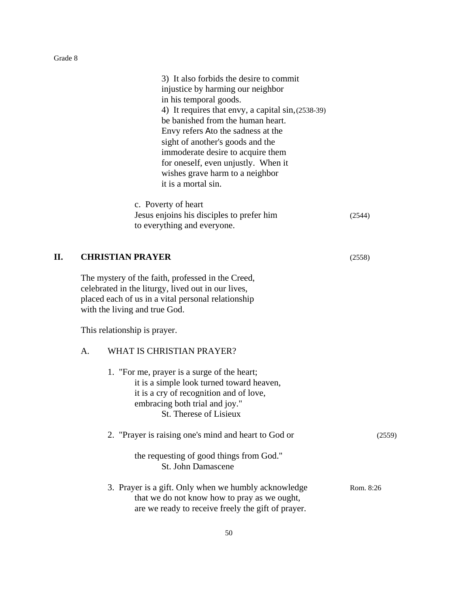3) It also forbids the desire to commit injustice by harming our neighbor in his temporal goods. 4) It requires that envy, a capital sin,(2538-39) be banished from the human heart. Envy refers Ato the sadness at the sight of another's goods and the immoderate desire to acquire them for oneself, even unjustly. When it wishes grave harm to a neighbor it is a mortal sin. c. Poverty of heart Jesus enjoins his disciples to prefer him (2544) to everything and everyone. **II. CHRISTIAN PRAYER** (2558) The mystery of the faith, professed in the Creed, celebrated in the liturgy, lived out in our lives, placed each of us in a vital personal relationship with the living and true God. This relationship is prayer. A. WHAT IS CHRISTIAN PRAYER? 1. "For me, prayer is a surge of the heart;

it is a simple look turned toward heaven, it is a cry of recognition and of love, embracing both trial and joy." St. Therese of Lisieux

| 2. "Prayer is raising one's mind and heart to God or                                                 | (2559)    |
|------------------------------------------------------------------------------------------------------|-----------|
| the requesting of good things from God."<br>St. John Damascene                                       |           |
| 3. Prayer is a gift. Only when we humbly acknowledge<br>that we do not know how to pray as we ought, | Rom. 8:26 |

are we ready to receive freely the gift of prayer.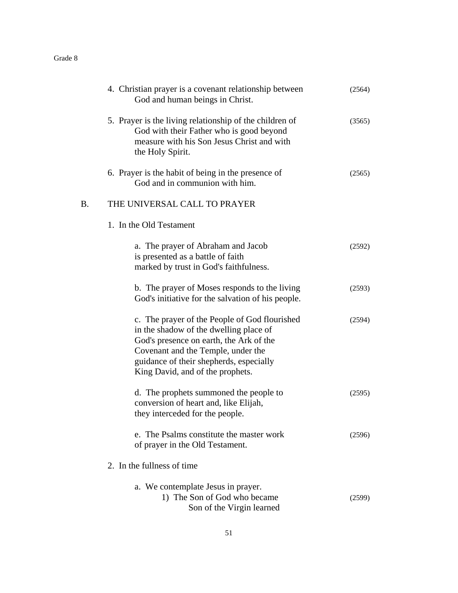|    | 4. Christian prayer is a covenant relationship between<br>God and human beings in Christ.                                                                                                                                                               | (2564) |
|----|---------------------------------------------------------------------------------------------------------------------------------------------------------------------------------------------------------------------------------------------------------|--------|
|    | 5. Prayer is the living relationship of the children of<br>God with their Father who is good beyond<br>measure with his Son Jesus Christ and with<br>the Holy Spirit.                                                                                   | (3565) |
|    | 6. Prayer is the habit of being in the presence of<br>God and in communion with him.                                                                                                                                                                    | (2565) |
| B. | THE UNIVERSAL CALL TO PRAYER                                                                                                                                                                                                                            |        |
|    | 1. In the Old Testament                                                                                                                                                                                                                                 |        |
|    | a. The prayer of Abraham and Jacob<br>is presented as a battle of faith<br>marked by trust in God's faithfulness.                                                                                                                                       | (2592) |
|    | b. The prayer of Moses responds to the living<br>God's initiative for the salvation of his people.                                                                                                                                                      | (2593) |
|    | c. The prayer of the People of God flourished<br>in the shadow of the dwelling place of<br>God's presence on earth, the Ark of the<br>Covenant and the Temple, under the<br>guidance of their shepherds, especially<br>King David, and of the prophets. | (2594) |
|    | d. The prophets summoned the people to<br>conversion of heart and, like Elijah,<br>they interceded for the people.                                                                                                                                      | (2595) |
|    | e. The Psalms constitute the master work<br>of prayer in the Old Testament.                                                                                                                                                                             | (2596) |
|    | 2. In the fullness of time                                                                                                                                                                                                                              |        |
|    | a. We contemplate Jesus in prayer.<br>1) The Son of God who became<br>Son of the Virgin learned                                                                                                                                                         | (2599) |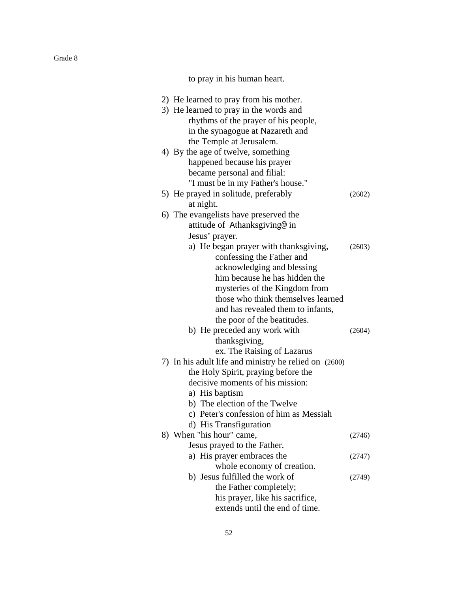to pray in his human heart.

| 2) He learned to pray from his mother.                |        |
|-------------------------------------------------------|--------|
| 3) He learned to pray in the words and                |        |
| rhythms of the prayer of his people,                  |        |
| in the synagogue at Nazareth and                      |        |
| the Temple at Jerusalem.                              |        |
| 4) By the age of twelve, something                    |        |
| happened because his prayer                           |        |
| became personal and filial:                           |        |
| "I must be in my Father's house."                     |        |
| 5) He prayed in solitude, preferably                  | (2602) |
| at night.                                             |        |
| 6) The evangelists have preserved the                 |        |
| attitude of Athanksgiving@ in                         |        |
| Jesus' prayer.                                        |        |
| a) He began prayer with thanksgiving,                 | (2603) |
| confessing the Father and                             |        |
| acknowledging and blessing                            |        |
| him because he has hidden the                         |        |
| mysteries of the Kingdom from                         |        |
| those who think themselves learned                    |        |
| and has revealed them to infants,                     |        |
| the poor of the beatitudes.                           |        |
| b) He preceded any work with                          | (2604) |
| thanksgiving,                                         |        |
| ex. The Raising of Lazarus                            |        |
| 7) In his adult life and ministry he relied on (2600) |        |
| the Holy Spirit, praying before the                   |        |
| decisive moments of his mission:                      |        |
| a) His baptism                                        |        |
| b) The election of the Twelve                         |        |
| c) Peter's confession of him as Messiah               |        |
| d) His Transfiguration                                |        |
| 8) When "his hour" came,                              | (2746) |
| Jesus prayed to the Father.                           |        |
| a) His prayer embraces the                            | (2747) |
| whole economy of creation.                            |        |
| b) Jesus fulfilled the work of                        | (2749) |
| the Father completely;                                |        |
| his prayer, like his sacrifice,                       |        |
| extends until the end of time.                        |        |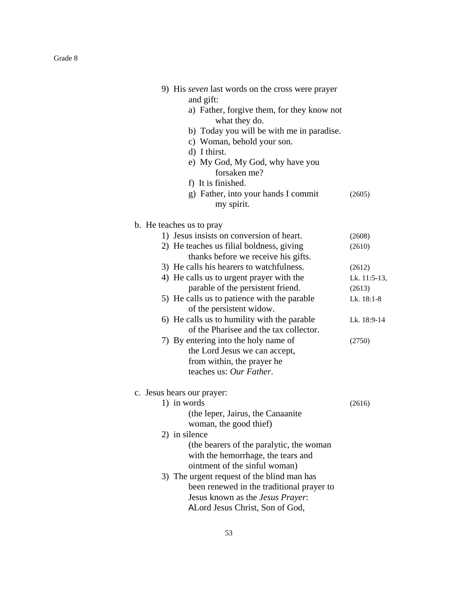| 9) His <i>seven</i> last words on the cross were prayer<br>and gift:<br>a) Father, forgive them, for they know not<br>what they do.<br>b) Today you will be with me in paradise.<br>c) Woman, behold your son.<br>d) I thirst.<br>e) My God, My God, why have you<br>forsaken me?<br>f) It is finished.<br>g) Father, into your hands I commit<br>my spirit. | (2605)       |
|--------------------------------------------------------------------------------------------------------------------------------------------------------------------------------------------------------------------------------------------------------------------------------------------------------------------------------------------------------------|--------------|
|                                                                                                                                                                                                                                                                                                                                                              |              |
| b. He teaches us to pray                                                                                                                                                                                                                                                                                                                                     |              |
| 1) Jesus insists on conversion of heart.                                                                                                                                                                                                                                                                                                                     | (2608)       |
| 2) He teaches us filial boldness, giving                                                                                                                                                                                                                                                                                                                     | (2610)       |
| thanks before we receive his gifts.<br>3) He calls his hearers to watchfulness.                                                                                                                                                                                                                                                                              | (2612)       |
| 4) He calls us to urgent prayer with the                                                                                                                                                                                                                                                                                                                     | Lk. 11:5-13, |
| parable of the persistent friend.                                                                                                                                                                                                                                                                                                                            | (2613)       |
| 5) He calls us to patience with the parable                                                                                                                                                                                                                                                                                                                  | Lk. 18:1-8   |
| of the persistent widow.                                                                                                                                                                                                                                                                                                                                     |              |
| 6) He calls us to humility with the parable                                                                                                                                                                                                                                                                                                                  | Lk. 18:9-14  |
| of the Pharisee and the tax collector.                                                                                                                                                                                                                                                                                                                       |              |
| 7) By entering into the holy name of                                                                                                                                                                                                                                                                                                                         | (2750)       |
| the Lord Jesus we can accept,                                                                                                                                                                                                                                                                                                                                |              |
| from within, the prayer he                                                                                                                                                                                                                                                                                                                                   |              |
| teaches us: Our Father.                                                                                                                                                                                                                                                                                                                                      |              |
| c. Jesus hears our prayer:                                                                                                                                                                                                                                                                                                                                   |              |
| 1) in words                                                                                                                                                                                                                                                                                                                                                  | (2616)       |
| (the leper, Jairus, the Canaanite                                                                                                                                                                                                                                                                                                                            |              |
| woman, the good thief)                                                                                                                                                                                                                                                                                                                                       |              |
| 2) in silence                                                                                                                                                                                                                                                                                                                                                |              |
| (the bearers of the paralytic, the woman                                                                                                                                                                                                                                                                                                                     |              |
| with the hemorrhage, the tears and                                                                                                                                                                                                                                                                                                                           |              |
| ointment of the sinful woman)                                                                                                                                                                                                                                                                                                                                |              |
| 3) The urgent request of the blind man has                                                                                                                                                                                                                                                                                                                   |              |
| been renewed in the traditional prayer to                                                                                                                                                                                                                                                                                                                    |              |
| Jesus known as the Jesus Prayer:                                                                                                                                                                                                                                                                                                                             |              |
| ALord Jesus Christ, Son of God,                                                                                                                                                                                                                                                                                                                              |              |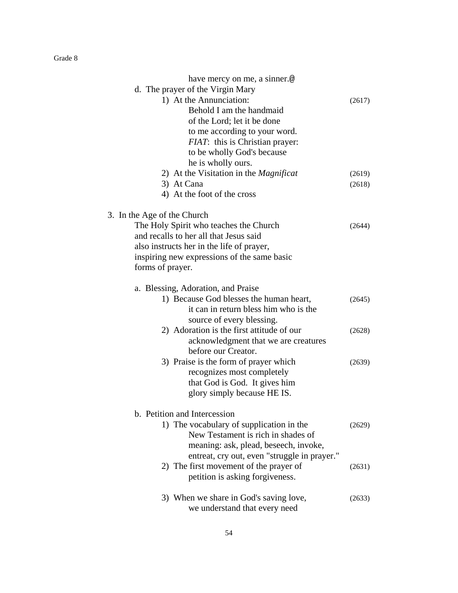| have mercy on me, a sinner.@                  |        |
|-----------------------------------------------|--------|
| d. The prayer of the Virgin Mary              |        |
| 1) At the Annunciation:                       | (2617) |
| Behold I am the handmaid                      |        |
| of the Lord; let it be done                   |        |
| to me according to your word.                 |        |
| <i>FIAT</i> : this is Christian prayer:       |        |
| to be wholly God's because                    |        |
| he is wholly ours.                            |        |
| 2) At the Visitation in the <i>Magnificat</i> | (2619) |
| 3) At Cana                                    | (2618) |
| 4) At the foot of the cross                   |        |
| 3. In the Age of the Church                   |        |
| The Holy Spirit who teaches the Church        | (2644) |
| and recalls to her all that Jesus said        |        |
| also instructs her in the life of prayer,     |        |
| inspiring new expressions of the same basic   |        |
| forms of prayer.                              |        |
| a. Blessing, Adoration, and Praise            |        |
| 1) Because God blesses the human heart,       | (2645) |
| it can in return bless him who is the         |        |
| source of every blessing.                     |        |
| 2) Adoration is the first attitude of our     | (2628) |
| acknowledgment that we are creatures          |        |
| before our Creator.                           |        |
| 3) Praise is the form of prayer which         | (2639) |
| recognizes most completely                    |        |
| that God is God. It gives him                 |        |
| glory simply because HE IS.                   |        |
| b. Petition and Intercession                  |        |
| 1) The vocabulary of supplication in the      | (2629) |
| New Testament is rich in shades of            |        |
| meaning: ask, plead, beseech, invoke,         |        |
| entreat, cry out, even "struggle in prayer."  |        |
| 2) The first movement of the prayer of        | (2631) |
| petition is asking forgiveness.               |        |
| 3) When we share in God's saving love,        | (2633) |
| we understand that every need                 |        |
|                                               |        |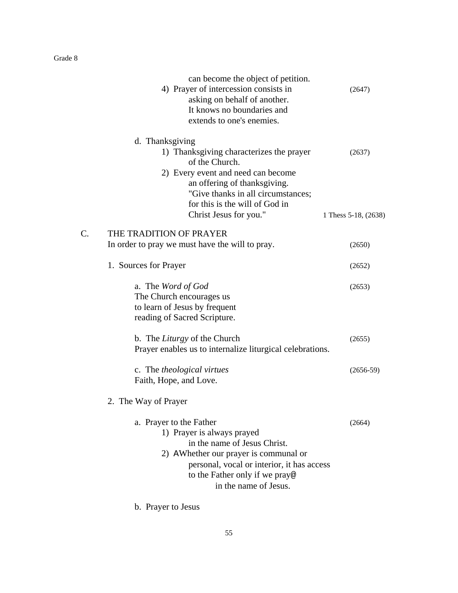|    | can become the object of petition.                                                                                                                                                                                                                    |                                |
|----|-------------------------------------------------------------------------------------------------------------------------------------------------------------------------------------------------------------------------------------------------------|--------------------------------|
|    | 4) Prayer of intercession consists in<br>asking on behalf of another.<br>It knows no boundaries and<br>extends to one's enemies.                                                                                                                      | (2647)                         |
|    | d. Thanksgiving<br>1) Thanksgiving characterizes the prayer<br>of the Church.<br>2) Every event and need can become<br>an offering of thanksgiving.<br>"Give thanks in all circumstances;<br>for this is the will of God in<br>Christ Jesus for you." | (2637)<br>1 Thess 5-18, (2638) |
|    |                                                                                                                                                                                                                                                       |                                |
| C. | THE TRADITION OF PRAYER<br>In order to pray we must have the will to pray.                                                                                                                                                                            | (2650)                         |
|    | 1. Sources for Prayer                                                                                                                                                                                                                                 | (2652)                         |
|    | a. The Word of God<br>The Church encourages us<br>to learn of Jesus by frequent<br>reading of Sacred Scripture.                                                                                                                                       | (2653)                         |
|    | b. The <i>Liturgy</i> of the Church<br>Prayer enables us to internalize liturgical celebrations.                                                                                                                                                      | (2655)                         |
|    | c. The <i>theological virtues</i><br>Faith, Hope, and Love.                                                                                                                                                                                           | $(2656-59)$                    |
|    | 2. The Way of Prayer                                                                                                                                                                                                                                  |                                |
|    | a. Prayer to the Father<br>1) Prayer is always prayed<br>in the name of Jesus Christ.<br>2) AW hether our prayer is communal or<br>personal, vocal or interior, it has access<br>to the Father only if we pray@<br>in the name of Jesus.              | (2664)                         |

b. Prayer to Jesus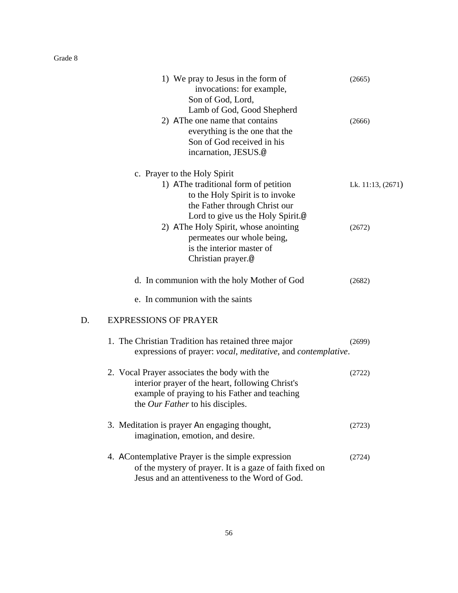|    | 1) We pray to Jesus in the form of<br>invocations: for example,<br>Son of God, Lord,<br>Lamb of God, Good Shepherd                                                                           | (2665)            |
|----|----------------------------------------------------------------------------------------------------------------------------------------------------------------------------------------------|-------------------|
|    | 2) AThe one name that contains<br>everything is the one that the<br>Son of God received in his<br>incarnation, JESUS.@                                                                       | (2666)            |
|    | c. Prayer to the Holy Spirit<br>1) AThe traditional form of petition<br>to the Holy Spirit is to invoke<br>the Father through Christ our                                                     | Lk. 11:13, (2671) |
|    | Lord to give us the Holy Spirit.@<br>2) AThe Holy Spirit, whose anointing<br>permeates our whole being,<br>is the interior master of<br>Christian prayer.@                                   | (2672)            |
|    | d. In communion with the holy Mother of God<br>e. In communion with the saints                                                                                                               | (2682)            |
| D. | <b>EXPRESSIONS OF PRAYER</b>                                                                                                                                                                 |                   |
|    | 1. The Christian Tradition has retained three major<br>expressions of prayer: <i>vocal, meditative</i> , and <i>contemplative</i> .                                                          | (2699)            |
|    | 2. Vocal Prayer associates the body with the<br>interior prayer of the heart, following Christ's<br>example of praying to his Father and teaching<br>the <i>Our Father</i> to his disciples. | (2722)            |
|    | 3. Meditation is prayer An engaging thought,<br>imagination, emotion, and desire.                                                                                                            | (2723)            |
|    | 4. AContemplative Prayer is the simple expression<br>of the mystery of prayer. It is a gaze of faith fixed on<br>Jesus and an attentiveness to the Word of God.                              | (2724)            |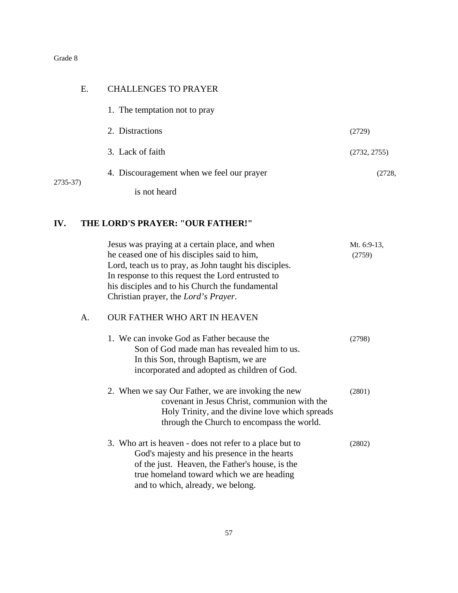| Е.       | <b>CHALLENGES TO PRAYER</b>               |              |
|----------|-------------------------------------------|--------------|
|          | 1. The temptation not to pray             |              |
|          | 2. Distractions                           | (2729)       |
|          | 3. Lack of faith                          | (2732, 2755) |
| 2735-37) | 4. Discouragement when we feel our prayer | (2728,       |
|          | is not heard                              |              |

# **IV. THE LORD'S PRAYER: "OUR FATHER!"**

|    | Jesus was praying at a certain place, and when<br>he ceased one of his disciples said to him,<br>Lord, teach us to pray, as John taught his disciples.<br>In response to this request the Lord entrusted to<br>his disciples and to his Church the fundamental<br>Christian prayer, the Lord's Prayer. | Mt. 6:9-13,<br>(2759) |
|----|--------------------------------------------------------------------------------------------------------------------------------------------------------------------------------------------------------------------------------------------------------------------------------------------------------|-----------------------|
| А. | <b>OUR FATHER WHO ART IN HEAVEN</b>                                                                                                                                                                                                                                                                    |                       |
|    | 1. We can invoke God as Father because the<br>Son of God made man has revealed him to us.<br>In this Son, through Baptism, we are<br>incorporated and adopted as children of God.                                                                                                                      | (2798)                |
|    | 2. When we say Our Father, we are invoking the new<br>covenant in Jesus Christ, communion with the<br>Holy Trinity, and the divine love which spreads<br>through the Church to encompass the world.                                                                                                    | (2801)                |
|    | 3. Who art is heaven - does not refer to a place but to<br>God's majesty and his presence in the hearts<br>of the just. Heaven, the Father's house, is the<br>true homeland toward which we are heading<br>and to which, already, we belong.                                                           | (2802)                |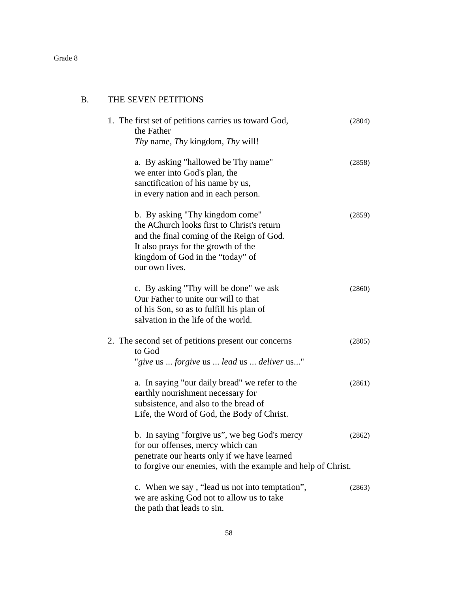# B. THE SEVEN PETITIONS

| 1. The first set of petitions carries us toward God,<br>the Father                                                                                                                                                      | (2804) |
|-------------------------------------------------------------------------------------------------------------------------------------------------------------------------------------------------------------------------|--------|
| Thy name, Thy kingdom, Thy will!                                                                                                                                                                                        |        |
| a. By asking "hallowed be Thy name"<br>we enter into God's plan, the<br>sanctification of his name by us,<br>in every nation and in each person.                                                                        | (2858) |
| b. By asking "Thy kingdom come"<br>the AChurch looks first to Christ's return<br>and the final coming of the Reign of God.<br>It also prays for the growth of the<br>kingdom of God in the "today" of<br>our own lives. | (2859) |
| c. By asking "Thy will be done" we ask<br>Our Father to unite our will to that<br>of his Son, so as to fulfill his plan of<br>salvation in the life of the world.                                                       | (2860) |
| 2. The second set of petitions present our concerns<br>to God<br>"give us  forgive us  lead us  deliver us"                                                                                                             | (2805) |
| a. In saying "our daily bread" we refer to the<br>earthly nourishment necessary for<br>subsistence, and also to the bread of<br>Life, the Word of God, the Body of Christ.                                              | (2861) |
| b. In saying "forgive us", we beg God's mercy<br>for our offenses, mercy which can<br>penetrate our hearts only if we have learned<br>to forgive our enemies, with the example and help of Christ.                      | (2862) |
| c. When we say, "lead us not into temptation",<br>we are asking God not to allow us to take<br>the path that leads to sin.                                                                                              | (2863) |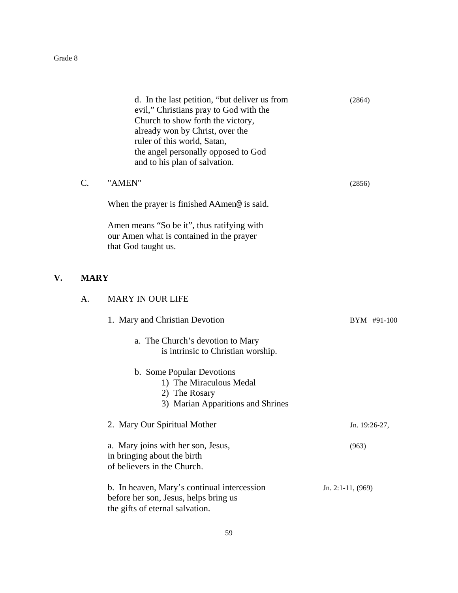**V.** 

|             | d. In the last petition, "but deliver us from<br>evil," Christians pray to God with the<br>Church to show forth the victory,<br>already won by Christ, over the<br>ruler of this world, Satan,<br>the angel personally opposed to God<br>and to his plan of salvation. | (2864)              |
|-------------|------------------------------------------------------------------------------------------------------------------------------------------------------------------------------------------------------------------------------------------------------------------------|---------------------|
| C.          | "AMEN"                                                                                                                                                                                                                                                                 | (2856)              |
|             | When the prayer is finished AAmen@ is said.                                                                                                                                                                                                                            |                     |
|             | Amen means "So be it", thus ratifying with<br>our Amen what is contained in the prayer<br>that God taught us.                                                                                                                                                          |                     |
| <b>MARY</b> |                                                                                                                                                                                                                                                                        |                     |
| A.          | <b>MARY IN OUR LIFE</b>                                                                                                                                                                                                                                                |                     |
|             | 1. Mary and Christian Devotion                                                                                                                                                                                                                                         | BYM #91-100         |
|             | a. The Church's devotion to Mary<br>is intrinsic to Christian worship.                                                                                                                                                                                                 |                     |
|             | b. Some Popular Devotions<br>1) The Miraculous Medal<br>2) The Rosary<br>3) Marian Apparitions and Shrines                                                                                                                                                             |                     |
|             | 2. Mary Our Spiritual Mother                                                                                                                                                                                                                                           | Jn. 19:26-27,       |
|             | a. Mary joins with her son, Jesus,<br>in bringing about the birth<br>of believers in the Church.                                                                                                                                                                       | (963)               |
|             | b. In heaven, Mary's continual intercession<br>before her son, Jesus, helps bring us<br>the gifts of eternal salvation.                                                                                                                                                | Jn. 2:1-11, $(969)$ |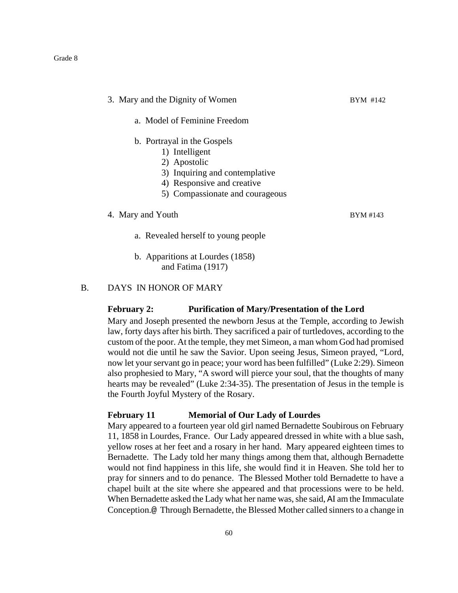| 3. Mary and the Dignity of Women | BYM #142 |  |
|----------------------------------|----------|--|
| a. Model of Feminine Freedom     |          |  |
| b. Portrayal in the Gospels      |          |  |
| 1) Intelligent                   |          |  |
| 2) Apostolic                     |          |  |
| 3) Inquiring and contemplative   |          |  |
| 4) Responsive and creative       |          |  |
| 5) Compassionate and courageous  |          |  |
| 4. Mary and Youth                | BYM #143 |  |

- a. Revealed herself to young people
- b. Apparitions at Lourdes (1858) and Fatima (1917)

B. DAYS IN HONOR OF MARY

#### **February 2: Purification of Mary/Presentation of the Lord**

Mary and Joseph presented the newborn Jesus at the Temple, according to Jewish law, forty days after his birth. They sacrificed a pair of turtledoves, according to the custom of the poor. At the temple, they met Simeon, a man whom God had promised would not die until he saw the Savior. Upon seeing Jesus, Simeon prayed, "Lord, now let your servant go in peace; your word has been fulfilled" (Luke 2:29). Simeon also prophesied to Mary, "A sword will pierce your soul, that the thoughts of many hearts may be revealed" (Luke 2:34-35). The presentation of Jesus in the temple is the Fourth Joyful Mystery of the Rosary.

# **February 11 Memorial of Our Lady of Lourdes**

Mary appeared to a fourteen year old girl named Bernadette Soubirous on February 11, 1858 in Lourdes, France. Our Lady appeared dressed in white with a blue sash, yellow roses at her feet and a rosary in her hand. Mary appeared eighteen times to Bernadette. The Lady told her many things among them that, although Bernadette would not find happiness in this life, she would find it in Heaven. She told her to pray for sinners and to do penance. The Blessed Mother told Bernadette to have a chapel built at the site where she appeared and that processions were to be held. When Bernadette asked the Lady what her name was, she said, AI am the Immaculate Conception.@ Through Bernadette, the Blessed Mother called sinners to a change in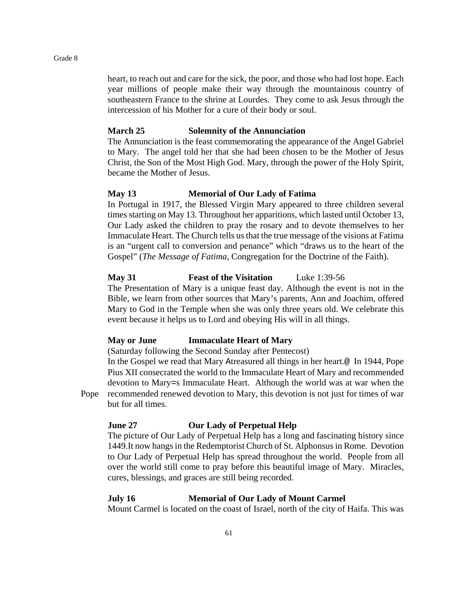heart, to reach out and care for the sick, the poor, and those who had lost hope. Each year millions of people make their way through the mountainous country of southeastern France to the shrine at Lourdes. They come to ask Jesus through the intercession of his Mother for a cure of their body or soul.

#### **March 25 Solemnity of the Annunciation**

The Annunciation is the feast commemorating the appearance of the Angel Gabriel to Mary. The angel told her that she had been chosen to be the Mother of Jesus Christ, the Son of the Most High God. Mary, through the power of the Holy Spirit, became the Mother of Jesus.

#### **May 13 Memorial of Our Lady of Fatima**

In Portugal in 1917, the Blessed Virgin Mary appeared to three children several times starting on May 13. Throughout her apparitions, which lasted until October 13, Our Lady asked the children to pray the rosary and to devote themselves to her Immaculate Heart. The Church tells us that the true message of the visions at Fatima is an "urgent call to conversion and penance" which "draws us to the heart of the Gospel" (*The Message of Fatima*, Congregation for the Doctrine of the Faith).

# **May 31 Feast of the Visitation** Luke 1:39-56

The Presentation of Mary is a unique feast day. Although the event is not in the Bible, we learn from other sources that Mary's parents, Ann and Joachim, offered Mary to God in the Temple when she was only three years old. We celebrate this event because it helps us to Lord and obeying His will in all things.

#### **May or June Immaculate Heart of Mary**

(Saturday following the Second Sunday after Pentecost)

In the Gospel we read that Mary Atreasured all things in her heart.@ In 1944, Pope Pius XII consecrated the world to the Immaculate Heart of Mary and recommended devotion to Mary=s Immaculate Heart. Although the world was at war when the Pope recommended renewed devotion to Mary, this devotion is not just for times of war but for all times.

# **June 27 Our Lady of Perpetual Help**

The picture of Our Lady of Perpetual Help has a long and fascinating history since 1449.It now hangs in the Redemptorist Church of St. Alphonsus in Rome. Devotion to Our Lady of Perpetual Help has spread throughout the world. People from all over the world still come to pray before this beautiful image of Mary. Miracles, cures, blessings, and graces are still being recorded.

#### **July 16 Memorial of Our Lady of Mount Carmel**

Mount Carmel is located on the coast of Israel, north of the city of Haifa. This was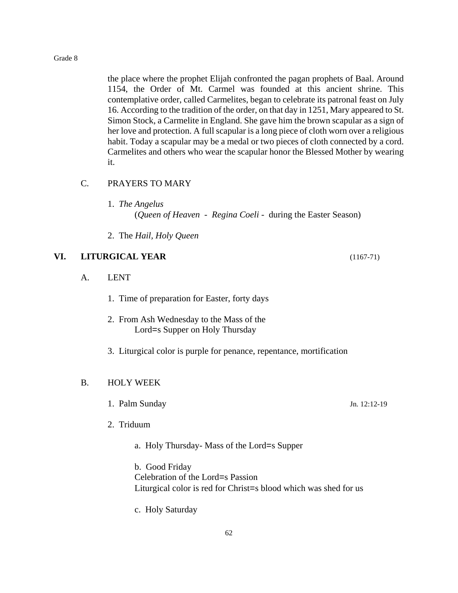the place where the prophet Elijah confronted the pagan prophets of Baal. Around 1154, the Order of Mt. Carmel was founded at this ancient shrine. This contemplative order, called Carmelites, began to celebrate its patronal feast on July 16. According to the tradition of the order, on that day in 1251, Mary appeared to St. Simon Stock, a Carmelite in England. She gave him the brown scapular as a sign of her love and protection. A full scapular is a long piece of cloth worn over a religious habit. Today a scapular may be a medal or two pieces of cloth connected by a cord. Carmelites and others who wear the scapular honor the Blessed Mother by wearing it.

# C. PRAYERS TO MARY

- 1. *The Angelus* (*Queen of Heaven* - *Regina Coeli* - during the Easter Season)
- 2. The *Hail, Holy Queen*

# **VI. LITURGICAL YEAR** (1167-71)

- A. LENT
	- 1. Time of preparation for Easter, forty days
	- 2. From Ash Wednesday to the Mass of the Lord=s Supper on Holy Thursday
	- 3. Liturgical color is purple for penance, repentance, mortification

# B. HOLY WEEK

- 1. Palm Sunday Jn. 12:12-19
- 2. Triduum
	- a. Holy Thursday- Mass of the Lord=s Supper

b. Good Friday Celebration of the Lord=s Passion Liturgical color is red for Christ=s blood which was shed for us

c. Holy Saturday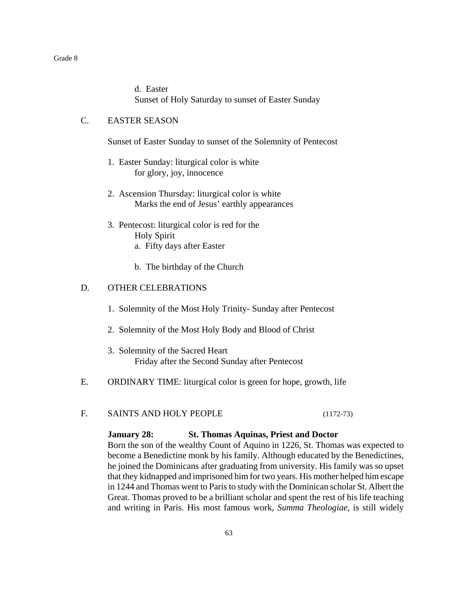d. Easter Sunset of Holy Saturday to sunset of Easter Sunday

# C. EASTER SEASON

Sunset of Easter Sunday to sunset of the Solemnity of Pentecost

- 1. Easter Sunday: liturgical color is white for glory, joy, innocence
- 2. Ascension Thursday: liturgical color is white Marks the end of Jesus' earthly appearances
- 3. Pentecost: liturgical color is red for the Holy Spirit a. Fifty days after Easter
	- b. The birthday of the Church

#### D. OTHER CELEBRATIONS

- 1. Solemnity of the Most Holy Trinity- Sunday after Pentecost
- 2. Solemnity of the Most Holy Body and Blood of Christ
- 3. Solemnity of the Sacred Heart Friday after the Second Sunday after Pentecost
- E. ORDINARY TIME: liturgical color is green for hope, growth, life
- F. SAINTS AND HOLY PEOPLE (1172-73)

**January 28: St. Thomas Aquinas, Priest and Doctor**

Born the son of the wealthy Count of Aquino in 1226, St. Thomas was expected to become a Benedictine monk by his family. Although educated by the Benedictines, he joined the Dominicans after graduating from university. His family was so upset that they kidnapped and imprisoned him for two years. His mother helped him escape in 1244 and Thomas went to Paris to study with the Dominican scholar St. Albert the Great. Thomas proved to be a brilliant scholar and spent the rest of his life teaching and writing in Paris. His most famous work, *Summa Theologiae*, is still widely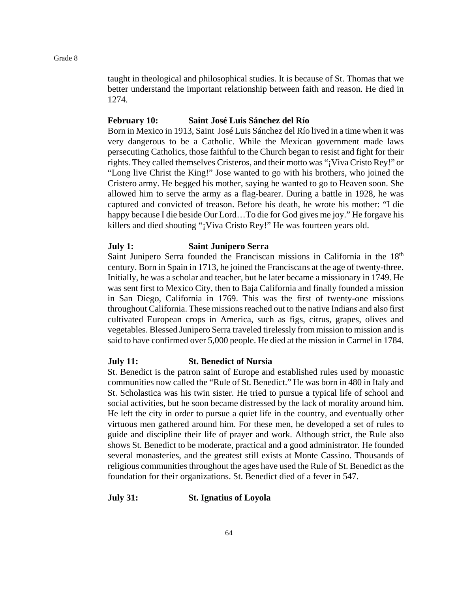taught in theological and philosophical studies. It is because of St. Thomas that we better understand the important relationship between faith and reason. He died in 1274.

## **February 10: Saint José Luis Sánchez del Río**

Born in Mexico in 1913, Saint José Luis Sánchez del Río lived in a time when it was very dangerous to be a Catholic. While the Mexican government made laws persecuting Catholics, those faithful to the Church began to resist and fight for their rights. They called themselves Cristeros, and their motto was "¡Viva Cristo Rey!" or "Long live Christ the King!" Jose wanted to go with his brothers, who joined the Cristero army. He begged his mother, saying he wanted to go to Heaven soon. She allowed him to serve the army as a flag-bearer. During a battle in 1928, he was captured and convicted of treason. Before his death, he wrote his mother: "I die happy because I die beside Our Lord…To die for God gives me joy." He forgave his killers and died shouting "¡Viva Cristo Rey!" He was fourteen years old.

#### **July 1: Saint Junipero Serra**

Saint Junipero Serra founded the Franciscan missions in California in the 18<sup>th</sup> century. Born in Spain in 1713, he joined the Franciscans at the age of twenty-three. Initially, he was a scholar and teacher, but he later became a missionary in 1749. He was sent first to Mexico City, then to Baja California and finally founded a mission in San Diego, California in 1769. This was the first of twenty-one missions throughout California. These missions reached out to the native Indians and also first cultivated European crops in America, such as figs, citrus, grapes, olives and vegetables. Blessed Junipero Serra traveled tirelessly from mission to mission and is said to have confirmed over 5,000 people. He died at the mission in Carmel in 1784.

#### **July 11: St. Benedict of Nursia**

St. Benedict is the patron saint of Europe and established rules used by monastic communities now called the "Rule of St. Benedict." He was born in 480 in Italy and St. Scholastica was his twin sister. He tried to pursue a typical life of school and social activities, but he soon became distressed by the lack of morality around him. He left the city in order to pursue a quiet life in the country, and eventually other virtuous men gathered around him. For these men, he developed a set of rules to guide and discipline their life of prayer and work. Although strict, the Rule also shows St. Benedict to be moderate, practical and a good administrator. He founded several monasteries, and the greatest still exists at Monte Cassino. Thousands of religious communities throughout the ages have used the Rule of St. Benedict as the foundation for their organizations. St. Benedict died of a fever in 547.

#### **July 31: St. Ignatius of Loyola**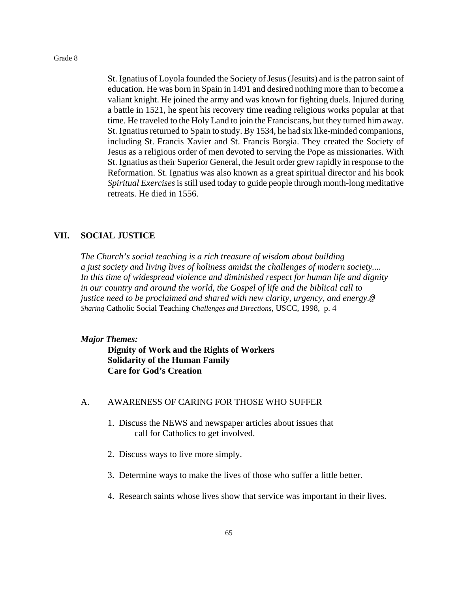St. Ignatius of Loyola founded the Society of Jesus (Jesuits) and is the patron saint of education. He was born in Spain in 1491 and desired nothing more than to become a valiant knight. He joined the army and was known for fighting duels. Injured during a battle in 1521, he spent his recovery time reading religious works popular at that time. He traveled to the Holy Land to join the Franciscans, but they turned him away. St. Ignatius returned to Spain to study. By 1534, he had six like-minded companions, including St. Francis Xavier and St. Francis Borgia. They created the Society of Jesus as a religious order of men devoted to serving the Pope as missionaries. With St. Ignatius as their Superior General, the Jesuit order grew rapidly in response to the Reformation. St. Ignatius was also known as a great spiritual director and his book *Spiritual Exercises*is still used today to guide people through month-long meditative retreats. He died in 1556.

## **VII. SOCIAL JUSTICE**

*The Church's social teaching is a rich treasure of wisdom about building a just society and living lives of holiness amidst the challenges of modern society.... In this time of widespread violence and diminished respect for human life and dignity in our country and around the world, the Gospel of life and the biblical call to justice need to be proclaimed and shared with new clarity, urgency, and energy.@ Sharing* Catholic Social Teaching *Challenges and Directions,* USCC, 1998, p. 4

#### *Major Themes:*

**Dignity of Work and the Rights of Workers Solidarity of the Human Family Care for God's Creation**

#### A. AWARENESS OF CARING FOR THOSE WHO SUFFER

- 1. Discuss the NEWS and newspaper articles about issues that call for Catholics to get involved.
- 2. Discuss ways to live more simply.
- 3. Determine ways to make the lives of those who suffer a little better.
- 4. Research saints whose lives show that service was important in their lives.